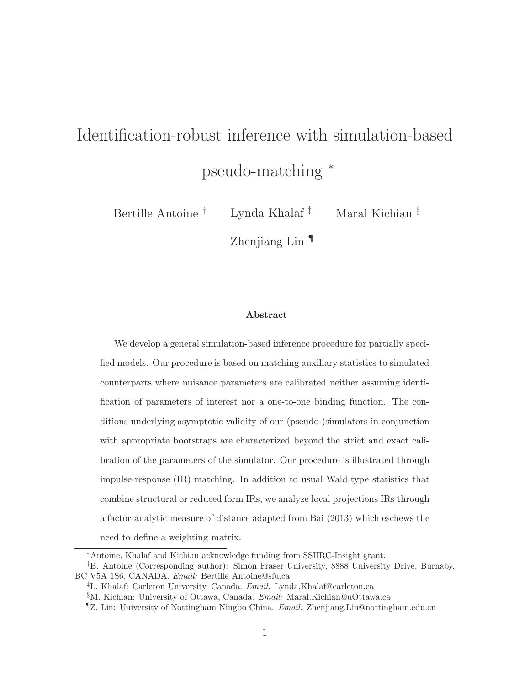# Identification-robust inference with simulation-based pseudo-matching <sup>∗</sup>

Bertille Antoine † Lynda Khalaf ‡ Maral Kichian §

Zhenjiang Lin ¶

#### Abstract

We develop a general simulation-based inference procedure for partially specified models. Our procedure is based on matching auxiliary statistics to simulated counterparts where nuisance parameters are calibrated neither assuming identification of parameters of interest nor a one-to-one binding function. The conditions underlying asymptotic validity of our (pseudo-)simulators in conjunction with appropriate bootstraps are characterized beyond the strict and exact calibration of the parameters of the simulator. Our procedure is illustrated through impulse-response (IR) matching. In addition to usual Wald-type statistics that combine structural or reduced form IRs, we analyze local projections IRs through a factor-analytic measure of distance adapted from Bai (2013) which eschews the need to define a weighting matrix.

<sup>∗</sup>Antoine, Khalaf and Kichian acknowledge funding from SSHRC-Insight grant.

<sup>†</sup>B. Antoine (Corresponding author): Simon Fraser University, 8888 University Drive, Burnaby, BC V5A 1S6, CANADA. Email: Bertille Antoine@sfu.ca

<sup>‡</sup>L. Khalaf: Carleton University, Canada. Email: Lynda.Khalaf@carleton.ca

<sup>§</sup>M. Kichian: University of Ottawa, Canada. Email: Maral.Kichian@uOttawa.ca

<sup>¶</sup>Z. Lin: University of Nottingham Ningbo China. Email: Zhenjiang.Lin@nottingham.edu.cn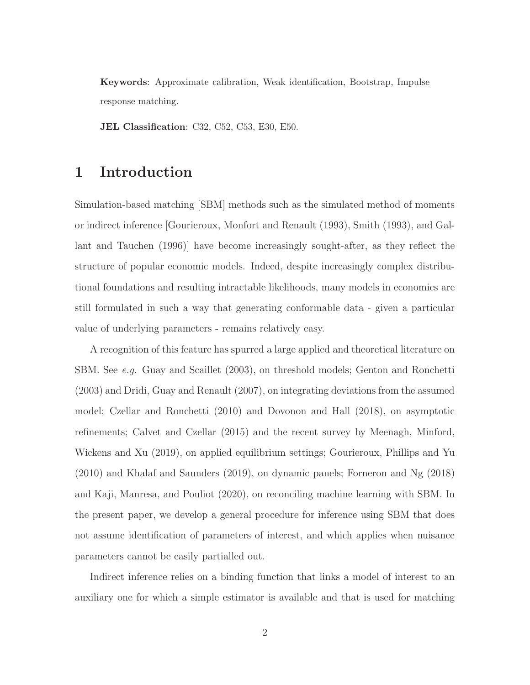Keywords: Approximate calibration, Weak identification, Bootstrap, Impulse response matching.

JEL Classification: C32, C52, C53, E30, E50.

## 1 Introduction

Simulation-based matching [SBM] methods such as the simulated method of moments or indirect inference [Gourieroux, Monfort and Renault (1993), Smith (1993), and Gallant and Tauchen (1996)] have become increasingly sought-after, as they reflect the structure of popular economic models. Indeed, despite increasingly complex distributional foundations and resulting intractable likelihoods, many models in economics are still formulated in such a way that generating conformable data - given a particular value of underlying parameters - remains relatively easy.

A recognition of this feature has spurred a large applied and theoretical literature on SBM. See e.g. Guay and Scaillet (2003), on threshold models; Genton and Ronchetti (2003) and Dridi, Guay and Renault (2007), on integrating deviations from the assumed model; Czellar and Ronchetti (2010) and Dovonon and Hall (2018), on asymptotic refinements; Calvet and Czellar (2015) and the recent survey by Meenagh, Minford, Wickens and Xu (2019), on applied equilibrium settings; Gourieroux, Phillips and Yu (2010) and Khalaf and Saunders (2019), on dynamic panels; Forneron and Ng (2018) and Kaji, Manresa, and Pouliot (2020), on reconciling machine learning with SBM. In the present paper, we develop a general procedure for inference using SBM that does not assume identification of parameters of interest, and which applies when nuisance parameters cannot be easily partialled out.

Indirect inference relies on a binding function that links a model of interest to an auxiliary one for which a simple estimator is available and that is used for matching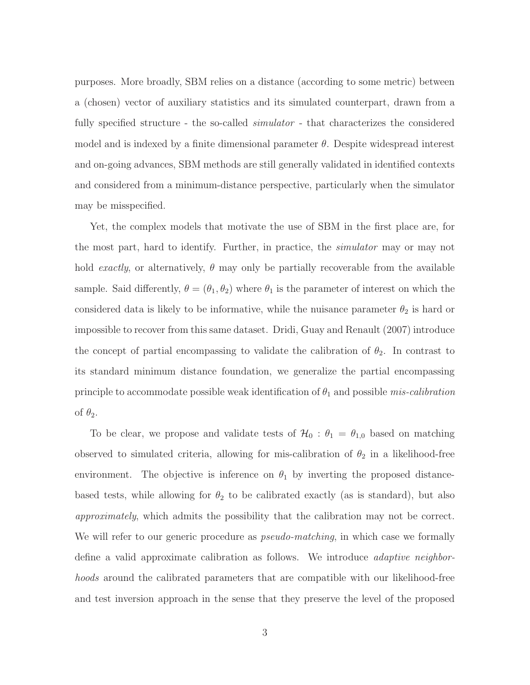purposes. More broadly, SBM relies on a distance (according to some metric) between a (chosen) vector of auxiliary statistics and its simulated counterpart, drawn from a fully specified structure - the so-called *simulator* - that characterizes the considered model and is indexed by a finite dimensional parameter  $\theta$ . Despite widespread interest and on-going advances, SBM methods are still generally validated in identified contexts and considered from a minimum-distance perspective, particularly when the simulator may be misspecified.

Yet, the complex models that motivate the use of SBM in the first place are, for the most part, hard to identify. Further, in practice, the simulator may or may not hold exactly, or alternatively,  $\theta$  may only be partially recoverable from the available sample. Said differently,  $\theta = (\theta_1, \theta_2)$  where  $\theta_1$  is the parameter of interest on which the considered data is likely to be informative, while the nuisance parameter  $\theta_2$  is hard or impossible to recover from this same dataset. Dridi, Guay and Renault (2007) introduce the concept of partial encompassing to validate the calibration of  $\theta_2$ . In contrast to its standard minimum distance foundation, we generalize the partial encompassing principle to accommodate possible weak identification of  $\theta_1$  and possible mis-calibration of  $\theta_2$ .

To be clear, we propose and validate tests of  $\mathcal{H}_0$ :  $\theta_1 = \theta_{1,0}$  based on matching observed to simulated criteria, allowing for mis-calibration of  $\theta_2$  in a likelihood-free environment. The objective is inference on  $\theta_1$  by inverting the proposed distancebased tests, while allowing for  $\theta_2$  to be calibrated exactly (as is standard), but also approximately, which admits the possibility that the calibration may not be correct. We will refer to our generic procedure as *pseudo-matching*, in which case we formally define a valid approximate calibration as follows. We introduce adaptive neighborhoods around the calibrated parameters that are compatible with our likelihood-free and test inversion approach in the sense that they preserve the level of the proposed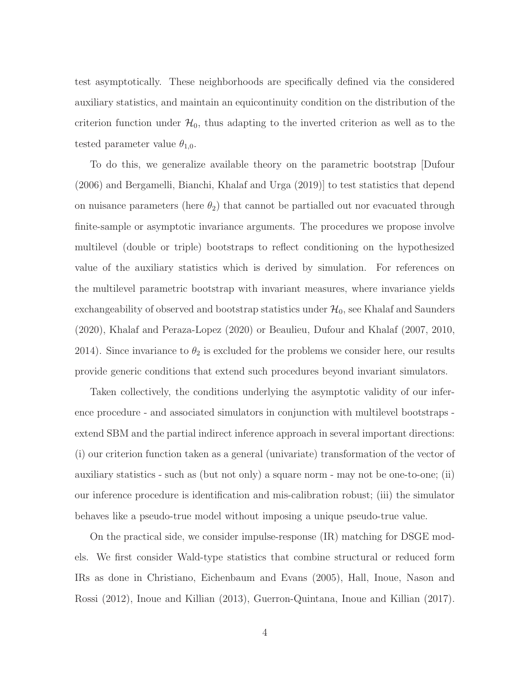test asymptotically. These neighborhoods are specifically defined via the considered auxiliary statistics, and maintain an equicontinuity condition on the distribution of the criterion function under  $\mathcal{H}_0$ , thus adapting to the inverted criterion as well as to the tested parameter value  $\theta_{1,0}$ .

To do this, we generalize available theory on the parametric bootstrap [Dufour (2006) and Bergamelli, Bianchi, Khalaf and Urga (2019)] to test statistics that depend on nuisance parameters (here  $\theta_2$ ) that cannot be partialled out nor evacuated through finite-sample or asymptotic invariance arguments. The procedures we propose involve multilevel (double or triple) bootstraps to reflect conditioning on the hypothesized value of the auxiliary statistics which is derived by simulation. For references on the multilevel parametric bootstrap with invariant measures, where invariance yields exchangeability of observed and bootstrap statistics under  $\mathcal{H}_0$ , see Khalaf and Saunders (2020), Khalaf and Peraza-Lopez (2020) or Beaulieu, Dufour and Khalaf (2007, 2010, 2014). Since invariance to  $\theta_2$  is excluded for the problems we consider here, our results provide generic conditions that extend such procedures beyond invariant simulators.

Taken collectively, the conditions underlying the asymptotic validity of our inference procedure - and associated simulators in conjunction with multilevel bootstraps extend SBM and the partial indirect inference approach in several important directions: (i) our criterion function taken as a general (univariate) transformation of the vector of auxiliary statistics - such as (but not only) a square norm - may not be one-to-one; (ii) our inference procedure is identification and mis-calibration robust; (iii) the simulator behaves like a pseudo-true model without imposing a unique pseudo-true value.

On the practical side, we consider impulse-response (IR) matching for DSGE models. We first consider Wald-type statistics that combine structural or reduced form IRs as done in Christiano, Eichenbaum and Evans (2005), Hall, Inoue, Nason and Rossi (2012), Inoue and Killian (2013), Guerron-Quintana, Inoue and Killian (2017).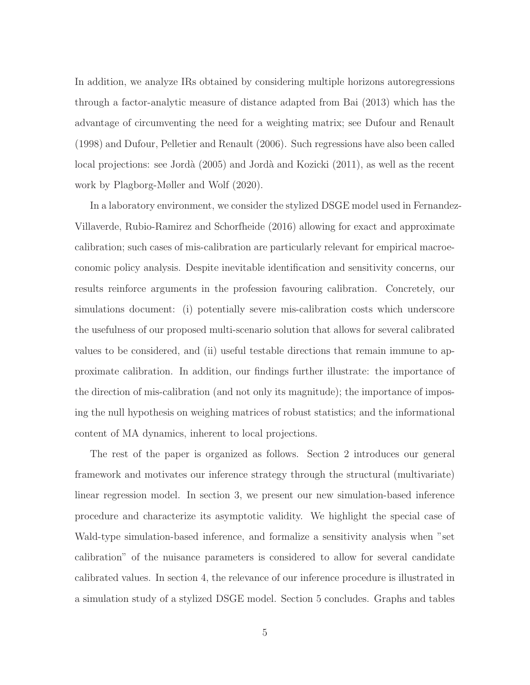In addition, we analyze IRs obtained by considering multiple horizons autoregressions through a factor-analytic measure of distance adapted from Bai (2013) which has the advantage of circumventing the need for a weighting matrix; see Dufour and Renault (1998) and Dufour, Pelletier and Renault (2006). Such regressions have also been called local projections: see Jordà (2005) and Jordà and Kozicki (2011), as well as the recent work by Plagborg-Møller and Wolf (2020).

In a laboratory environment, we consider the stylized DSGE model used in Fernandez-Villaverde, Rubio-Ramirez and Schorfheide (2016) allowing for exact and approximate calibration; such cases of mis-calibration are particularly relevant for empirical macroeconomic policy analysis. Despite inevitable identification and sensitivity concerns, our results reinforce arguments in the profession favouring calibration. Concretely, our simulations document: (i) potentially severe mis-calibration costs which underscore the usefulness of our proposed multi-scenario solution that allows for several calibrated values to be considered, and (ii) useful testable directions that remain immune to approximate calibration. In addition, our findings further illustrate: the importance of the direction of mis-calibration (and not only its magnitude); the importance of imposing the null hypothesis on weighing matrices of robust statistics; and the informational content of MA dynamics, inherent to local projections.

The rest of the paper is organized as follows. Section 2 introduces our general framework and motivates our inference strategy through the structural (multivariate) linear regression model. In section 3, we present our new simulation-based inference procedure and characterize its asymptotic validity. We highlight the special case of Wald-type simulation-based inference, and formalize a sensitivity analysis when "set calibration" of the nuisance parameters is considered to allow for several candidate calibrated values. In section 4, the relevance of our inference procedure is illustrated in a simulation study of a stylized DSGE model. Section 5 concludes. Graphs and tables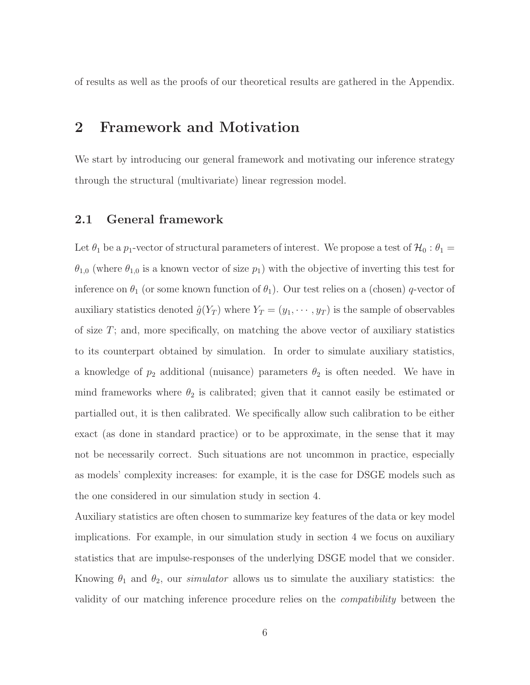of results as well as the proofs of our theoretical results are gathered in the Appendix.

## 2 Framework and Motivation

We start by introducing our general framework and motivating our inference strategy through the structural (multivariate) linear regression model.

#### 2.1 General framework

Let  $\theta_1$  be a  $p_1$ -vector of structural parameters of interest. We propose a test of  $\mathcal{H}_0$ :  $\theta_1$  =  $\theta_{1,0}$  (where  $\theta_{1,0}$  is a known vector of size  $p_1$ ) with the objective of inverting this test for inference on  $\theta_1$  (or some known function of  $\theta_1$ ). Our test relies on a (chosen) q-vector of auxiliary statistics denoted  $\hat{g}(Y_T)$  where  $Y_T = (y_1, \dots, y_T)$  is the sample of observables of size T; and, more specifically, on matching the above vector of auxiliary statistics to its counterpart obtained by simulation. In order to simulate auxiliary statistics, a knowledge of  $p_2$  additional (nuisance) parameters  $\theta_2$  is often needed. We have in mind frameworks where  $\theta_2$  is calibrated; given that it cannot easily be estimated or partialled out, it is then calibrated. We specifically allow such calibration to be either exact (as done in standard practice) or to be approximate, in the sense that it may not be necessarily correct. Such situations are not uncommon in practice, especially as models' complexity increases: for example, it is the case for DSGE models such as the one considered in our simulation study in section 4.

Auxiliary statistics are often chosen to summarize key features of the data or key model implications. For example, in our simulation study in section 4 we focus on auxiliary statistics that are impulse-responses of the underlying DSGE model that we consider. Knowing  $\theta_1$  and  $\theta_2$ , our *simulator* allows us to simulate the auxiliary statistics: the validity of our matching inference procedure relies on the compatibility between the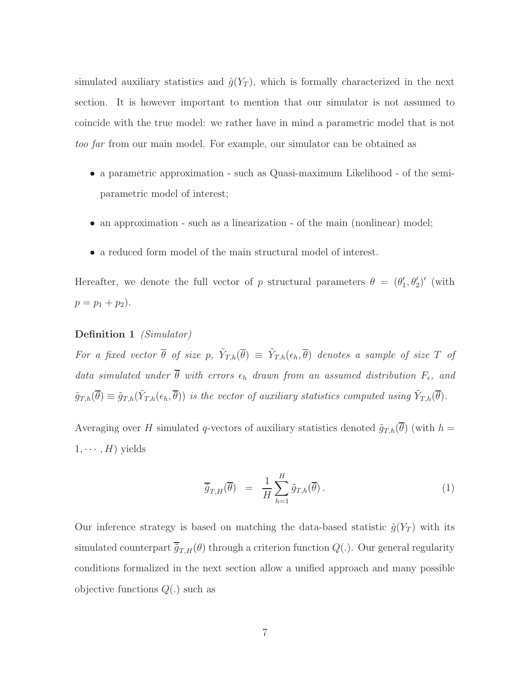simulated auxiliary statistics and  $\hat{g}(Y_T)$ , which is formally characterized in the next section. It is however important to mention that our simulator is not assumed to coincide with the true model: we rather have in mind a parametric model that is not too far from our main model. For example, our simulator can be obtained as

- a parametric approximation such as Quasi-maximum Likelihood of the semiparametric model of interest;
- an approximation such as a linearization of the main (nonlinear) model;
- a reduced form model of the main structural model of interest.

Hereafter, we denote the full vector of p structural parameters  $\theta = (\theta'_1, \theta'_2)'$  (with  $p = p_1 + p_2$ .

#### Definition 1 *(Simulator)*

For a fixed vector  $\bar{\theta}$  of size p,  $\tilde{Y}_{T,h}(\bar{\theta}) \equiv \tilde{Y}_{T,h}(\epsilon_h, \bar{\theta})$  denotes a sample of size T of data simulated under  $\theta$  with errors  $\epsilon_h$  drawn from an assumed distribution  $F_{\epsilon}$ , and  $\tilde{g}_{T,h}(\overline{\theta}) \equiv \tilde{g}_{T,h}(\tilde{Y}_{T,h}(\epsilon_h, \overline{\theta}))$  is the vector of auxiliary statistics computed using  $\tilde{Y}_{T,h}(\overline{\theta})$ .

Averaging over H simulated q-vectors of auxiliary statistics denoted  $\tilde{g}_{T,h}(\overline{\theta})$  (with  $h =$  $1, \cdots, H$ ) yields

$$
\overline{\tilde{g}}_{T,H}(\overline{\theta}) = \frac{1}{H} \sum_{h=1}^{H} \tilde{g}_{T,h}(\overline{\theta}). \tag{1}
$$

Our inference strategy is based on matching the data-based statistic  $\hat{g}(Y_T)$  with its simulated counterpart  $\overline{\tilde{g}}_{T,H}(\theta)$  through a criterion function  $Q(.)$ . Our general regularity conditions formalized in the next section allow a unified approach and many possible objective functions  $Q(.)$  such as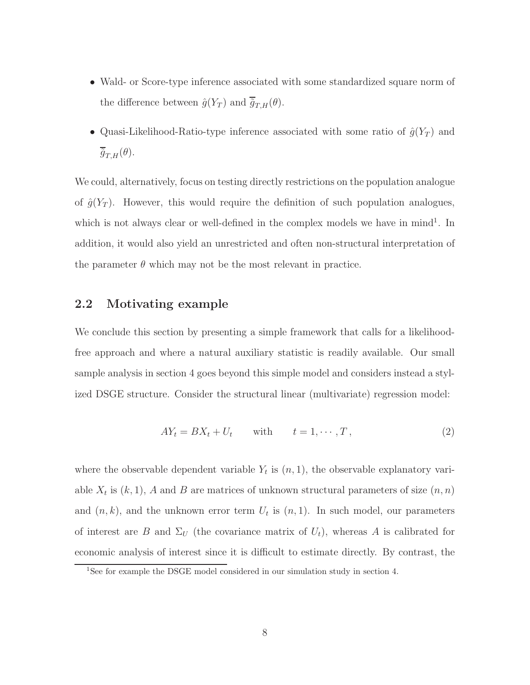- Wald- or Score-type inference associated with some standardized square norm of the difference between  $\hat{g}(Y_T)$  and  $\overline{\tilde{g}}_{T,H}(\theta)$ .
- Quasi-Likelihood-Ratio-type inference associated with some ratio of  $\hat{g}(Y_T)$  and  $\overline{\tilde{g}}_{T,H}(\theta)$ .

We could, alternatively, focus on testing directly restrictions on the population analogue of  $\hat{g}(Y_T)$ . However, this would require the definition of such population analogues, which is not always clear or well-defined in the complex models we have in  $mind<sup>1</sup>$ . In addition, it would also yield an unrestricted and often non-structural interpretation of the parameter  $\theta$  which may not be the most relevant in practice.

#### 2.2 Motivating example

We conclude this section by presenting a simple framework that calls for a likelihoodfree approach and where a natural auxiliary statistic is readily available. Our small sample analysis in section 4 goes beyond this simple model and considers instead a stylized DSGE structure. Consider the structural linear (multivariate) regression model:

$$
AY_t = BX_t + U_t \quad \text{with} \quad t = 1, \cdots, T,
$$
\n
$$
(2)
$$

where the observable dependent variable  $Y_t$  is  $(n, 1)$ , the observable explanatory variable  $X_t$  is  $(k, 1)$ , A and B are matrices of unknown structural parameters of size  $(n, n)$ and  $(n, k)$ , and the unknown error term  $U_t$  is  $(n, 1)$ . In such model, our parameters of interest are B and  $\Sigma_U$  (the covariance matrix of  $U_t$ ), whereas A is calibrated for economic analysis of interest since it is difficult to estimate directly. By contrast, the

<sup>&</sup>lt;sup>1</sup>See for example the DSGE model considered in our simulation study in section 4.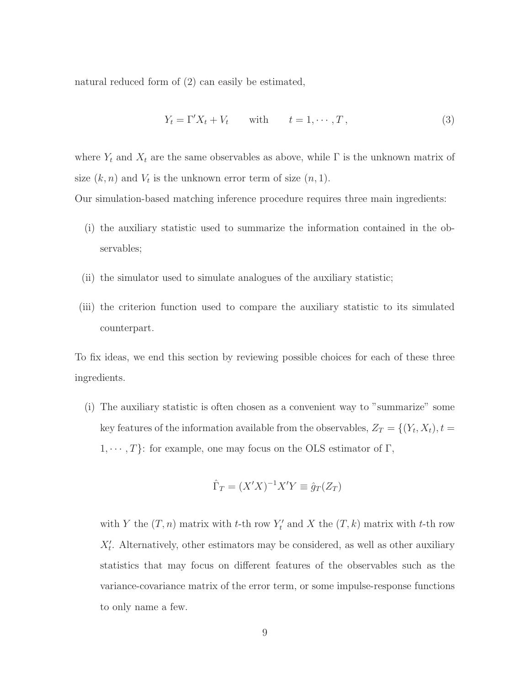natural reduced form of (2) can easily be estimated,

$$
Y_t = \Gamma' X_t + V_t \quad \text{with} \quad t = 1, \cdots, T,
$$
\n
$$
(3)
$$

where  $Y_t$  and  $X_t$  are the same observables as above, while  $\Gamma$  is the unknown matrix of size  $(k, n)$  and  $V_t$  is the unknown error term of size  $(n, 1)$ .

Our simulation-based matching inference procedure requires three main ingredients:

- (i) the auxiliary statistic used to summarize the information contained in the observables;
- (ii) the simulator used to simulate analogues of the auxiliary statistic;
- (iii) the criterion function used to compare the auxiliary statistic to its simulated counterpart.

To fix ideas, we end this section by reviewing possible choices for each of these three ingredients.

(i) The auxiliary statistic is often chosen as a convenient way to "summarize" some key features of the information available from the observables,  $Z_T = \{(Y_t, X_t), t =$  $1, \dots, T$ : for example, one may focus on the OLS estimator of Γ,

$$
\hat{\Gamma}_T = (X'X)^{-1}X'Y \equiv \hat{g}_T(Z_T)
$$

with Y the  $(T, n)$  matrix with t-th row  $Y'_t$  and X the  $(T, k)$  matrix with t-th row  $X'_t$ . Alternatively, other estimators may be considered, as well as other auxiliary statistics that may focus on different features of the observables such as the variance-covariance matrix of the error term, or some impulse-response functions to only name a few.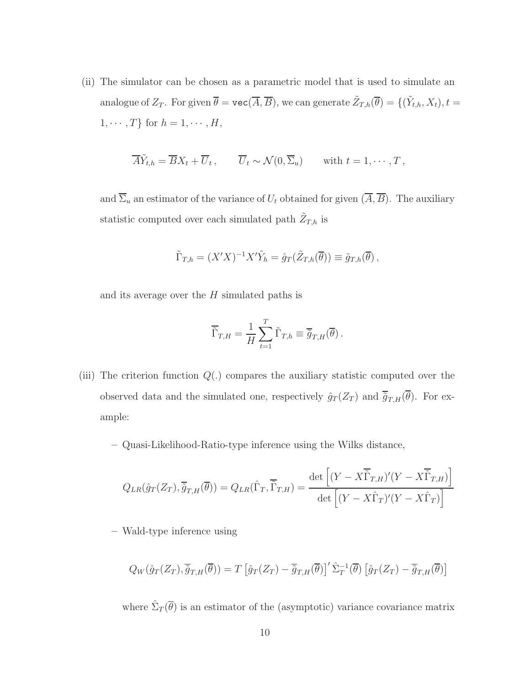(ii) The simulator can be chosen as a parametric model that is used to simulate an analogue of  $Z_T$ . For given  $\overline{\theta} = \texttt{vec}(\overline{A}, \overline{B})$ , we can generate  $\tilde{Z}_{T,h}(\overline{\theta}) = \{(\tilde{Y}_{t,h}, X_t), t =$  $1, \cdots, T$ } for  $h = 1, \cdots, H$ ,

$$
\overline{A}\tilde{Y}_{t,h} = \overline{B}X_t + \overline{U}_t, \qquad \overline{U}_t \sim \mathcal{N}(0,\overline{\Sigma}_u) \qquad \text{with } t = 1,\cdots,T,
$$

and  $\overline{\Sigma}_u$  an estimator of the variance of  $U_t$  obtained for given  $(\overline{A}, \overline{B})$ . The auxiliary statistic computed over each simulated path  $\tilde{Z}_{T,h}$  is

$$
\tilde{\Gamma}_{T,h} = (X'X)^{-1}X'\tilde{Y}_h = \hat{g}_T(\tilde{Z}_{T,h}(\overline{\theta})) \equiv \tilde{g}_{T,h}(\overline{\theta}),
$$

and its average over the  $H$  simulated paths is

$$
\overline{\tilde{\Gamma}}_{T,H} = \frac{1}{H} \sum_{t=1}^{T} \tilde{\Gamma}_{T,h} \equiv \overline{\tilde{g}}_{T,H}(\overline{\theta}).
$$

- (iii) The criterion function  $Q(.)$  compares the auxiliary statistic computed over the observed data and the simulated one, respectively  $\hat{g}_T(Z_T)$  and  $\overline{\tilde{g}}_{T,H}(\overline{\theta})$ . For example:
	- Quasi-Likelihood-Ratio-type inference using the Wilks distance,

$$
Q_{LR}(\hat{g}_T(Z_T), \overline{\tilde{g}}_{T,H}(\overline{\theta})) = Q_{LR}(\hat{\Gamma}_T, \overline{\tilde{\Gamma}}_{T,H}) = \frac{\det\left[ (Y - X\overline{\tilde{\Gamma}}_{T,H})'(Y - X\overline{\tilde{\Gamma}}_{T,H}) \right]}{\det\left[ (Y - X\hat{\Gamma}_T)'(Y - X\hat{\Gamma}_T) \right]}
$$

– Wald-type inference using

$$
Q_W(\hat{g}_T(Z_T), \overline{\tilde{g}}_{T,H}(\overline{\theta})) = T \left[ \hat{g}_T(Z_T) - \overline{\tilde{g}}_{T,H}(\overline{\theta}) \right]' \hat{\Sigma}_T^{-1}(\overline{\theta}) \left[ \hat{g}_T(Z_T) - \overline{\tilde{g}}_{T,H}(\overline{\theta}) \right]
$$

where  $\hat{\Sigma}_T(\overline{\theta})$  is an estimator of the (asymptotic) variance covariance matrix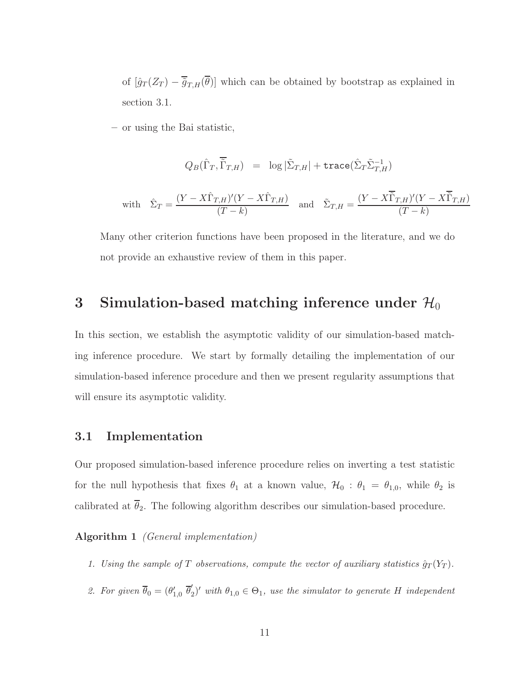of  $[\hat{g}_T(Z_T) - \overline{\tilde{g}}_{T,H}(\overline{\theta})]$  which can be obtained by bootstrap as explained in section 3.1.

– or using the Bai statistic,

$$
Q_B(\hat{\Gamma}_T, \overline{\tilde{\Gamma}}_{T,H}) = \log |\tilde{\Sigma}_{T,H}| + \text{trace}(\hat{\Sigma}_T \tilde{\Sigma}_{T,H}^{-1})
$$
  
with 
$$
\hat{\Sigma}_T = \frac{(Y - X\hat{\Gamma}_{T,H})'(Y - X\hat{\Gamma}_{T,H})}{(T-k)} \text{ and } \tilde{\Sigma}_{T,H} = \frac{(Y - X\overline{\tilde{\Gamma}}_{T,H})'(Y - X\overline{\tilde{\Gamma}}_{T,H})}{(T-k)}
$$

Many other criterion functions have been proposed in the literature, and we do not provide an exhaustive review of them in this paper.

### 3 Simulation-based matching inference under  $\mathcal{H}_0$

In this section, we establish the asymptotic validity of our simulation-based matching inference procedure. We start by formally detailing the implementation of our simulation-based inference procedure and then we present regularity assumptions that will ensure its asymptotic validity.

#### 3.1 Implementation

Our proposed simulation-based inference procedure relies on inverting a test statistic for the null hypothesis that fixes  $\theta_1$  at a known value,  $\mathcal{H}_0$ :  $\theta_1 = \theta_{1,0}$ , while  $\theta_2$  is calibrated at  $\bar{\theta}_2$ . The following algorithm describes our simulation-based procedure.

Algorithm 1 (General implementation)

- 1. Using the sample of T observations, compute the vector of auxiliary statistics  $\hat{g}_T(Y_T)$ .
- 2. For given  $\overline{\theta}_0 = (\theta'_{1,0} \ \overline{\theta}'_2)$  $\mathcal{C}_2'$  with  $\theta_{1,0} \in \Theta_1$ , use the simulator to generate H independent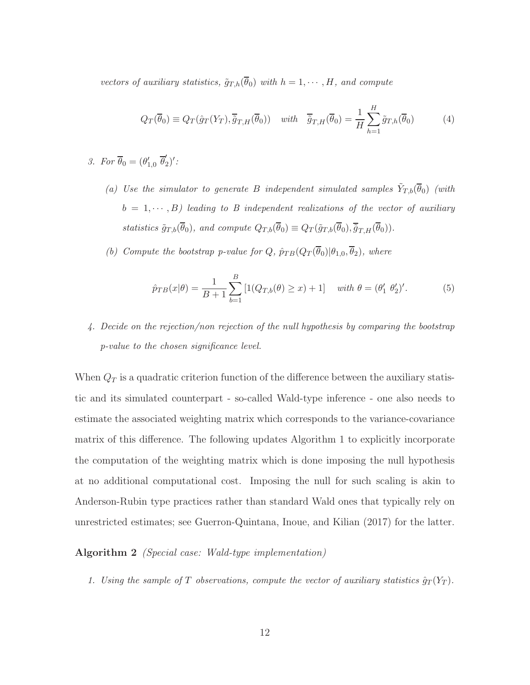vectors of auxiliary statistics,  $\tilde{g}_{T,h}(\overline{\theta}_0)$  with  $h = 1, \dots, H$ , and compute

$$
Q_T(\overline{\theta}_0) \equiv Q_T(\hat{g}_T(Y_T), \overline{\tilde{g}}_{T,H}(\overline{\theta}_0)) \quad with \quad \overline{\tilde{g}}_{T,H}(\overline{\theta}_0) = \frac{1}{H} \sum_{h=1}^{H} \tilde{g}_{T,h}(\overline{\theta}_0)
$$
(4)

- 3. For  $\overline{\theta}_0 = (\theta'_{1,0} \ \overline{\theta}'_2)$  $'_{2})'$  :
	- (a) Use the simulator to generate B independent simulated samples  $\tilde{Y}_{T,b}(\overline{\theta}_0)$  (with  $b = 1, \dots, B$ ) leading to B independent realizations of the vector of auxiliary statistics  $\tilde{g}_{T,b}(\overline{\theta}_0)$ , and compute  $Q_{T,b}(\overline{\theta}_0) \equiv Q_T(\tilde{g}_{T,b}(\overline{\theta}_0), \overline{\tilde{g}}_{T,H}(\overline{\theta}_0)).$
	- (b) Compute the bootstrap p-value for  $Q$ ,  $\hat{p}_{TB}(Q_T(\overline{\theta}_0)|\theta_{1,0}, \overline{\theta}_2)$ , where

$$
\hat{p}_{TB}(x|\theta) = \frac{1}{B+1} \sum_{b=1}^{B} \left[ 1(Q_{T,b}(\theta) \ge x) + 1 \right] \quad \text{with } \theta = (\theta_1' \ \theta_2')'. \tag{5}
$$

4. Decide on the rejection/non rejection of the null hypothesis by comparing the bootstrap p-value to the chosen significance level.

When  $Q_T$  is a quadratic criterion function of the difference between the auxiliary statistic and its simulated counterpart - so-called Wald-type inference - one also needs to estimate the associated weighting matrix which corresponds to the variance-covariance matrix of this difference. The following updates Algorithm 1 to explicitly incorporate the computation of the weighting matrix which is done imposing the null hypothesis at no additional computational cost. Imposing the null for such scaling is akin to Anderson-Rubin type practices rather than standard Wald ones that typically rely on unrestricted estimates; see Guerron-Quintana, Inoue, and Kilian (2017) for the latter.

#### Algorithm 2 (Special case: Wald-type implementation)

1. Using the sample of T observations, compute the vector of auxiliary statistics  $\hat{g}_T(Y_T)$ .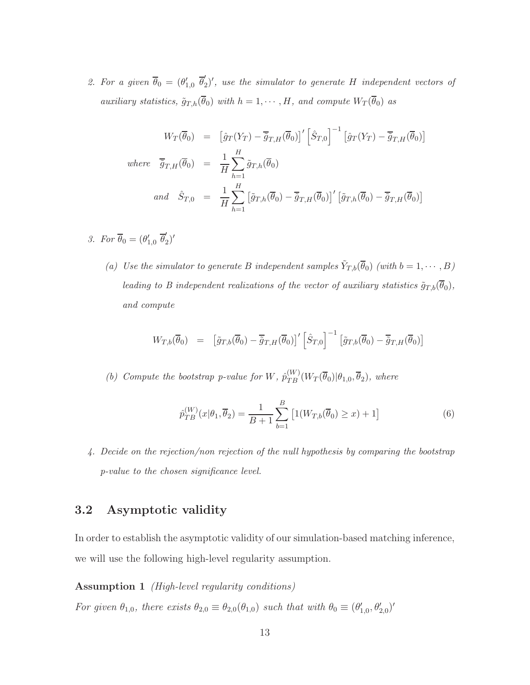2. For a given  $\overline{\theta}_0 = (\theta'_{1,0} \ \overline{\theta}'_2)$  $\mathcal{L}_2'$ , use the simulator to generate H independent vectors of auxiliary statistics,  $\tilde{g}_{T,h}(\bar{\theta}_0)$  with  $h = 1, \dots, H$ , and compute  $W_T(\bar{\theta}_0)$  as

$$
W_T(\overline{\theta}_0) = \left[\hat{g}_T(Y_T) - \overline{\tilde{g}}_{T,H}(\overline{\theta}_0)\right]^\prime \left[\hat{S}_{T,0}\right]^{-1} \left[\hat{g}_T(Y_T) - \overline{\tilde{g}}_{T,H}(\overline{\theta}_0)\right]
$$
  
where  $\overline{\tilde{g}}_{T,H}(\overline{\theta}_0) = \frac{1}{H} \sum_{h=1}^H \tilde{g}_{T,h}(\overline{\theta}_0)$   
and  $\hat{S}_{T,0} = \frac{1}{H} \sum_{h=1}^H \left[\tilde{g}_{T,h}(\overline{\theta}_0) - \overline{\tilde{g}}_{T,H}(\overline{\theta}_0)\right]^\prime \left[\tilde{g}_{T,h}(\overline{\theta}_0) - \overline{\tilde{g}}_{T,H}(\overline{\theta}_0)\right]$ 

- 3. For  $\overline{\theta}_0 = (\theta'_{1,0} \ \overline{\theta}'_2)$  $'_{2})'$ 
	- (a) Use the simulator to generate B independent samples  $\tilde{Y}_{T,b}(\overline{\theta}_0)$  (with  $b=1,\cdots,B$ ) leading to B independent realizations of the vector of auxiliary statistics  $\tilde{g}_{T,b}(\overline{\theta}_0)$ , and compute

$$
W_{T,b}(\overline{\theta}_0) = [\tilde{g}_{T,b}(\overline{\theta}_0) - \overline{\tilde{g}}_{T,H}(\overline{\theta}_0)]' [\hat{S}_{T,0}]^{-1} [\tilde{g}_{T,b}(\overline{\theta}_0) - \overline{\tilde{g}}_{T,H}(\overline{\theta}_0)]
$$

(b) Compute the bootstrap p-value for W,  $\hat{p}_{TB}^{(W)}(W_T(\overline{\theta}_0)|\theta_{1,0}, \overline{\theta}_2)$ , where

$$
\hat{p}_{TB}^{(W)}(x|\theta_1, \overline{\theta}_2) = \frac{1}{B+1} \sum_{b=1}^{B} \left[ 1(W_{T,b}(\overline{\theta}_0) \ge x) + 1 \right]
$$
(6)

4. Decide on the rejection/non rejection of the null hypothesis by comparing the bootstrap p-value to the chosen significance level.

#### 3.2 Asymptotic validity

In order to establish the asymptotic validity of our simulation-based matching inference, we will use the following high-level regularity assumption.

#### Assumption 1 (High-level regularity conditions)

For given  $\theta_{1,0}$ , there exists  $\theta_{2,0} \equiv \theta_{2,0}(\theta_{1,0})$  such that with  $\theta_0 \equiv (\theta'_{1,0}, \theta'_{2,0})'$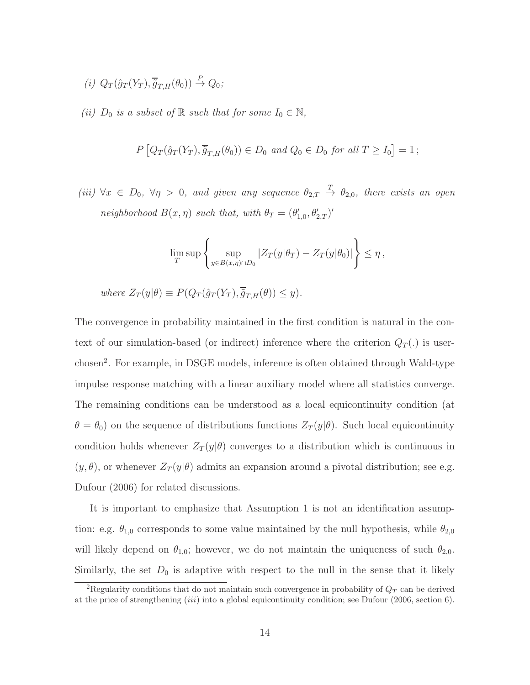$$
(i) Q_T(\hat{g}_T(Y_T), \overline{\tilde{g}}_{T,H}(\theta_0)) \stackrel{P}{\to} Q_0;
$$

(ii)  $D_0$  is a subset of  $\mathbb R$  such that for some  $I_0 \in \mathbb N$ ,

$$
P\left[Q_T(\hat{g}_T(Y_T), \overline{\tilde{g}}_{T,H}(\theta_0)) \in D_0 \text{ and } Q_0 \in D_0 \text{ for all } T \ge I_0\right] = 1 ;
$$

(iii)  $\forall x \in D_0$ ,  $\forall \eta > 0$ , and given any sequence  $\theta_{2,T} \stackrel{T}{\rightarrow} \theta_{2,0}$ , there exists an open neighborhood  $B(x, \eta)$  such that, with  $\theta_T = (\theta'_{1,0}, \theta'_{2,T})'$ 

$$
\lim_T \sup \left\{ \sup_{y \in B(x,\eta) \cap D_0} |Z_T(y|\theta_T) - Z_T(y|\theta_0)| \right\} \leq \eta,
$$

where 
$$
Z_T(y|\theta) \equiv P(Q_T(\hat{g}_T(Y_T), \overline{\hat{g}}_{T,H}(\theta)) \leq y)
$$
.

The convergence in probability maintained in the first condition is natural in the context of our simulation-based (or indirect) inference where the criterion  $Q_T(.)$  is userchosen<sup>2</sup>. For example, in DSGE models, inference is often obtained through Wald-type impulse response matching with a linear auxiliary model where all statistics converge. The remaining conditions can be understood as a local equicontinuity condition (at  $\theta = \theta_0$ ) on the sequence of distributions functions  $Z_T(y|\theta)$ . Such local equicontinuity condition holds whenever  $Z_T(y|\theta)$  converges to a distribution which is continuous in  $(y, \theta)$ , or whenever  $Z_T(y|\theta)$  admits an expansion around a pivotal distribution; see e.g. Dufour (2006) for related discussions.

It is important to emphasize that Assumption 1 is not an identification assumption: e.g.  $\theta_{1,0}$  corresponds to some value maintained by the null hypothesis, while  $\theta_{2,0}$ will likely depend on  $\theta_{1,0}$ ; however, we do not maintain the uniqueness of such  $\theta_{2,0}$ . Similarly, the set  $D_0$  is adaptive with respect to the null in the sense that it likely

<sup>&</sup>lt;sup>2</sup>Regularity conditions that do not maintain such convergence in probability of  $Q_T$  can be derived at the price of strengthening (iii) into a global equicontinuity condition; see Dufour (2006, section 6).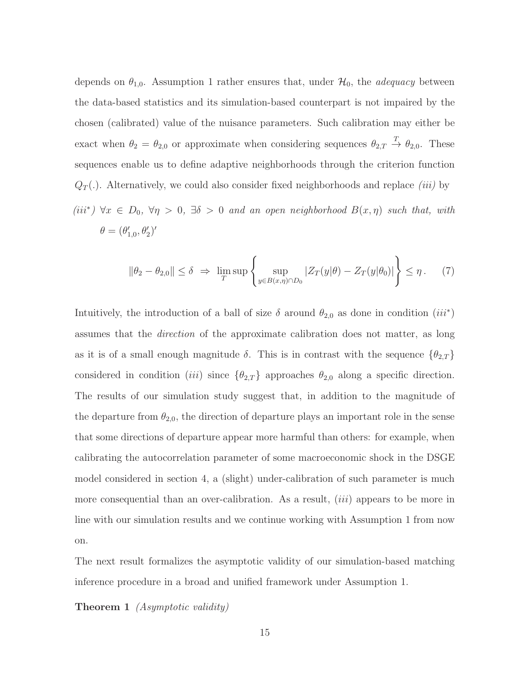depends on  $\theta_{1,0}$ . Assumption 1 rather ensures that, under  $\mathcal{H}_0$ , the *adequacy* between the data-based statistics and its simulation-based counterpart is not impaired by the chosen (calibrated) value of the nuisance parameters. Such calibration may either be exact when  $\theta_2 = \theta_{2,0}$  or approximate when considering sequences  $\theta_{2,T} \stackrel{T}{\rightarrow} \theta_{2,0}$ . These sequences enable us to define adaptive neighborhoods through the criterion function  $Q_T(.)$ . Alternatively, we could also consider fixed neighborhoods and replace *(iii)* by

(iii<sup>\*</sup>)  $\forall x \in D_0$ ,  $\forall \eta > 0$ ,  $\exists \delta > 0$  and an open neighborhood  $B(x, \eta)$  such that, with  $\theta = (\theta'_{1,0}, \theta'_{2})'$ 

$$
\|\theta_2 - \theta_{2,0}\| \le \delta \implies \lim_{T} \sup \left\{ \sup_{y \in B(x,\eta) \cap D_0} |Z_T(y|\theta) - Z_T(y|\theta_0)| \right\} \le \eta. \tag{7}
$$

Intuitively, the introduction of a ball of size  $\delta$  around  $\theta_{2,0}$  as done in condition  $(iii^*)$ assumes that the direction of the approximate calibration does not matter, as long as it is of a small enough magnitude  $\delta$ . This is in contrast with the sequence  $\{\theta_{2,T}\}$ considered in condition (iii) since  $\{\theta_{2,T}\}$  approaches  $\theta_{2,0}$  along a specific direction. The results of our simulation study suggest that, in addition to the magnitude of the departure from  $\theta_{2,0}$ , the direction of departure plays an important role in the sense that some directions of departure appear more harmful than others: for example, when calibrating the autocorrelation parameter of some macroeconomic shock in the DSGE model considered in section 4, a (slight) under-calibration of such parameter is much more consequential than an over-calibration. As a result, *(iii)* appears to be more in line with our simulation results and we continue working with Assumption 1 from now on.

The next result formalizes the asymptotic validity of our simulation-based matching inference procedure in a broad and unified framework under Assumption 1.

**Theorem 1** *(Asymptotic validity)*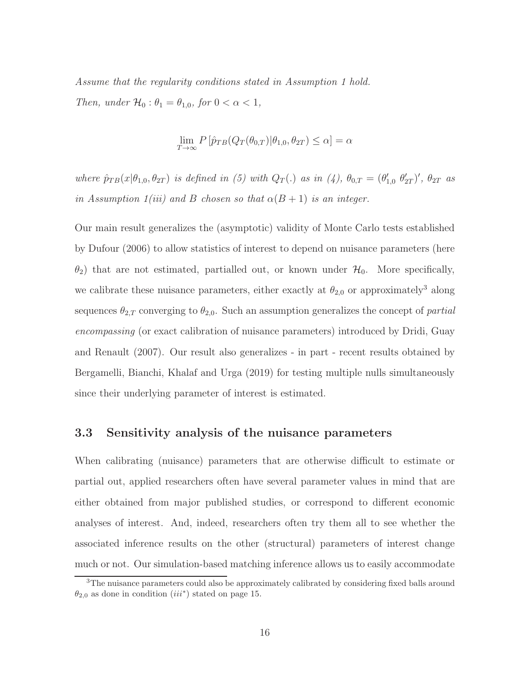Assume that the regularity conditions stated in Assumption 1 hold. Then, under  $\mathcal{H}_0: \theta_1 = \theta_{1,0}$ , for  $0 < \alpha < 1$ ,

$$
\lim_{T \to \infty} P[\hat{p}_{TB}(Q_T(\theta_{0,T}) | \theta_{1,0}, \theta_{2T}) \le \alpha] = \alpha
$$

where  $\hat{p}_{TB}(x|\theta_{1,0},\theta_{2T})$  is defined in (5) with  $Q_T(.)$  as in (4),  $\theta_{0,T} = (\theta'_{1,0}, \theta'_{2T})'$ ,  $\theta_{2T}$  as in Assumption 1(iii) and B chosen so that  $\alpha(B+1)$  is an integer.

Our main result generalizes the (asymptotic) validity of Monte Carlo tests established by Dufour (2006) to allow statistics of interest to depend on nuisance parameters (here  $\theta_2$ ) that are not estimated, partialled out, or known under  $\mathcal{H}_0$ . More specifically, we calibrate these nuisance parameters, either exactly at  $\theta_{2,0}$  or approximately<sup>3</sup> along sequences  $\theta_{2,T}$  converging to  $\theta_{2,0}$ . Such an assumption generalizes the concept of *partial* encompassing (or exact calibration of nuisance parameters) introduced by Dridi, Guay and Renault (2007). Our result also generalizes - in part - recent results obtained by Bergamelli, Bianchi, Khalaf and Urga (2019) for testing multiple nulls simultaneously since their underlying parameter of interest is estimated.

#### 3.3 Sensitivity analysis of the nuisance parameters

When calibrating (nuisance) parameters that are otherwise difficult to estimate or partial out, applied researchers often have several parameter values in mind that are either obtained from major published studies, or correspond to different economic analyses of interest. And, indeed, researchers often try them all to see whether the associated inference results on the other (structural) parameters of interest change much or not. Our simulation-based matching inference allows us to easily accommodate

<sup>3</sup>The nuisance parameters could also be approximately calibrated by considering fixed balls around  $\theta_{2,0}$  as done in condition  $(iii^*)$  stated on page 15.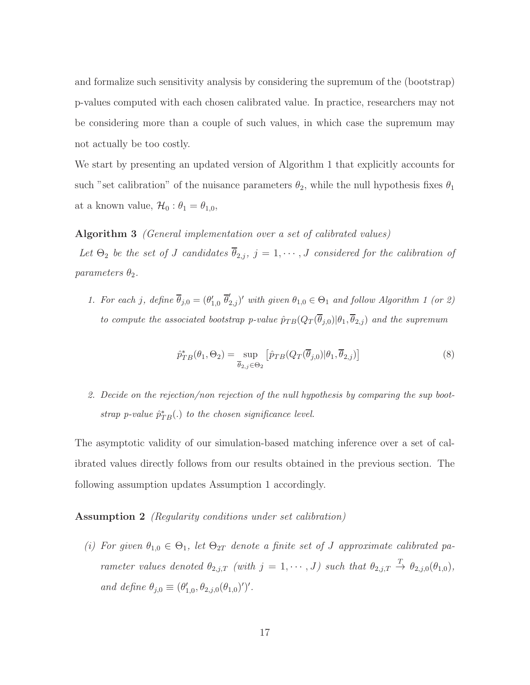and formalize such sensitivity analysis by considering the supremum of the (bootstrap) p-values computed with each chosen calibrated value. In practice, researchers may not be considering more than a couple of such values, in which case the supremum may not actually be too costly.

We start by presenting an updated version of Algorithm 1 that explicitly accounts for such "set calibration" of the nuisance parameters  $\theta_2$ , while the null hypothesis fixes  $\theta_1$ at a known value,  $\mathcal{H}_0 : \theta_1 = \theta_{1,0}$ ,

#### Algorithm 3 (General implementation over a set of calibrated values)

Let  $\Theta_2$  be the set of J candidates  $\overline{\theta}_{2,j}$ ,  $j = 1, \dots, J$  considered for the calibration of parameters  $\theta_2$ .

1. For each j, define  $\overline{\theta}_{j,0} = (\theta'_{1,0} \ \overline{\theta}'_{2,j})'$  with given  $\theta_{1,0} \in \Theta_1$  and follow Algorithm 1 (or 2) to compute the associated bootstrap p-value  $\hat{p}_{TB}(Q_T(\overline{\theta}_{j,0})|\theta_1,\overline{\theta}_{2,j})$  and the supremum

$$
\hat{p}_{TB}^*(\theta_1, \Theta_2) = \sup_{\overline{\theta}_{2,j} \in \Theta_2} \left[ \hat{p}_{TB}(Q_T(\overline{\theta}_{j,0}) | \theta_1, \overline{\theta}_{2,j}) \right]
$$
(8)

2. Decide on the rejection/non rejection of the null hypothesis by comparing the sup bootstrap p-value  $\hat{p}_{TB}^{*}(.)$  to the chosen significance level.

The asymptotic validity of our simulation-based matching inference over a set of calibrated values directly follows from our results obtained in the previous section. The following assumption updates Assumption 1 accordingly.

Assumption 2 (Regularity conditions under set calibration)

(i) For given  $\theta_{1,0} \in \Theta_1$ , let  $\Theta_{2T}$  denote a finite set of J approximate calibrated parameter values denoted  $\theta_{2,j,T}$  (with  $j=1,\dots,J$ ) such that  $\theta_{2,j,T} \stackrel{T}{\rightarrow} \theta_{2,j,0}(\theta_{1,0}),$ and define  $\theta_{j,0} \equiv (\theta'_{1,0}, \theta_{2,j,0}(\theta_{1,0})')'.$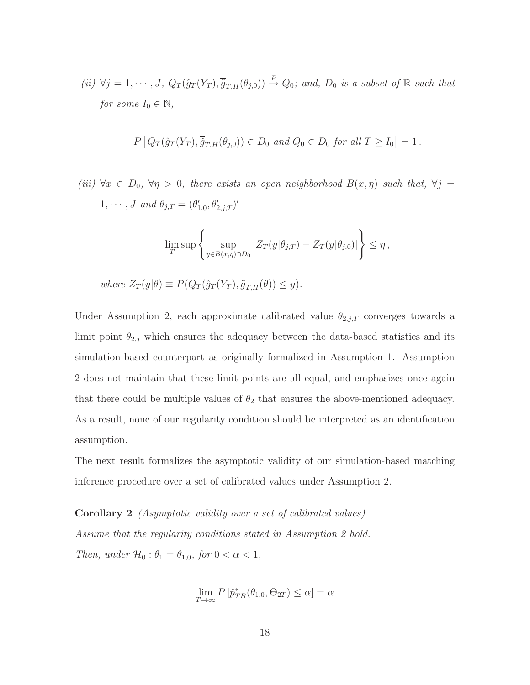(ii)  $\forall j = 1, \cdots, J$ ,  $Q_T(\hat{g}_T(Y_T), \overline{\hat{g}}_{T,H}(\theta_{j,0})) \stackrel{P}{\rightarrow} Q_0$ ; and,  $D_0$  is a subset of  $\mathbb R$  such that for some  $I_0 \in \mathbb{N}$ ,

$$
P\left[Q_T(\hat{g}_T(Y_T), \overline{\hat{g}}_{T,H}(\theta_{j,0})) \in D_0 \text{ and } Q_0 \in D_0 \text{ for all } T \ge I_0\right] = 1.
$$

(iii)  $\forall x \in D_0$ ,  $\forall \eta > 0$ , there exists an open neighborhood  $B(x, \eta)$  such that,  $\forall j =$  $1, \cdots, J$  and  $\theta_{j,T} = (\theta'_{1,0}, \theta'_{2,j,T})'$ 

$$
\lim_{T} \sup \left\{ \sup_{y \in B(x,\eta) \cap D_0} |Z_T(y|\theta_{j,T}) - Z_T(y|\theta_{j,0})| \right\} \leq \eta,
$$

where  $Z_T(y|\theta) \equiv P(Q_T(\hat{q}_T(Y_T), \overline{\tilde{q}}_{T,H}(\theta)) \leq y).$ 

Under Assumption 2, each approximate calibrated value  $\theta_{2,j,T}$  converges towards a limit point  $\theta_{2,j}$  which ensures the adequacy between the data-based statistics and its simulation-based counterpart as originally formalized in Assumption 1. Assumption 2 does not maintain that these limit points are all equal, and emphasizes once again that there could be multiple values of  $\theta_2$  that ensures the above-mentioned adequacy. As a result, none of our regularity condition should be interpreted as an identification assumption.

The next result formalizes the asymptotic validity of our simulation-based matching inference procedure over a set of calibrated values under Assumption 2.

Corollary 2 (Asymptotic validity over a set of calibrated values) Assume that the regularity conditions stated in Assumption 2 hold. Then, under  $\mathcal{H}_0: \theta_1 = \theta_{1,0}$ , for  $0 < \alpha < 1$ ,

$$
\lim_{T \to \infty} P\left[\hat{p}_{TB}^*(\theta_{1,0}, \Theta_{2T}) \le \alpha\right] = \alpha
$$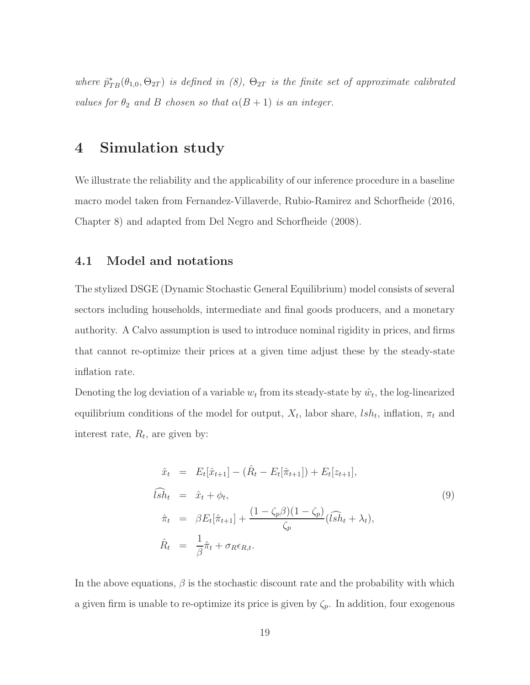where  $\hat{p}_{TB}^*(\theta_{1,0}, \Theta_{2T})$  is defined in (8),  $\Theta_{2T}$  is the finite set of approximate calibrated values for  $\theta_2$  and B chosen so that  $\alpha(B+1)$  is an integer.

## 4 Simulation study

We illustrate the reliability and the applicability of our inference procedure in a baseline macro model taken from Fernandez-Villaverde, Rubio-Ramirez and Schorfheide (2016, Chapter 8) and adapted from Del Negro and Schorfheide (2008).

#### 4.1 Model and notations

The stylized DSGE (Dynamic Stochastic General Equilibrium) model consists of several sectors including households, intermediate and final goods producers, and a monetary authority. A Calvo assumption is used to introduce nominal rigidity in prices, and firms that cannot re-optimize their prices at a given time adjust these by the steady-state inflation rate.

Denoting the log deviation of a variable  $w_t$  from its steady-state by  $\hat{w}_t$ , the log-linearized equilibrium conditions of the model for output,  $X_t$ , labor share,  $lsh_t$ , inflation,  $\pi_t$  and interest rate,  $R_t$ , are given by:

$$
\hat{x}_t = E_t[\hat{x}_{t+1}] - (\hat{R}_t - E_t[\hat{\pi}_{t+1}]) + E_t[z_{t+1}],
$$
\n
$$
\widehat{ish}_t = \hat{x}_t + \phi_t,
$$
\n
$$
\hat{\pi}_t = \beta E_t[\hat{\pi}_{t+1}] + \frac{(1 - \zeta_p \beta)(1 - \zeta_p)}{\zeta_p}(\widehat{lsh}_t + \lambda_t),
$$
\n
$$
\hat{R}_t = \frac{1}{\beta} \hat{\pi}_t + \sigma_R \epsilon_{R,t}.
$$
\n(9)

In the above equations,  $\beta$  is the stochastic discount rate and the probability with which a given firm is unable to re-optimize its price is given by  $\zeta_p$ . In addition, four exogenous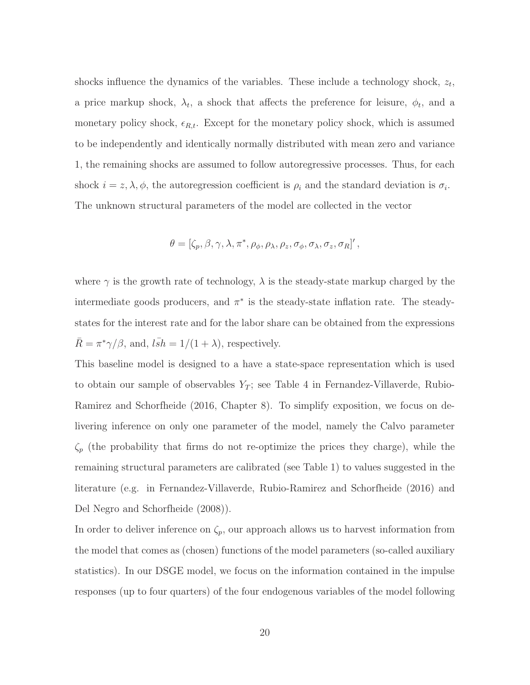shocks influence the dynamics of the variables. These include a technology shock,  $z_t$ , a price markup shock,  $\lambda_t$ , a shock that affects the preference for leisure,  $\phi_t$ , and a monetary policy shock,  $\epsilon_{R,t}$ . Except for the monetary policy shock, which is assumed to be independently and identically normally distributed with mean zero and variance 1, the remaining shocks are assumed to follow autoregressive processes. Thus, for each shock  $i = z, \lambda, \phi$ , the autoregression coefficient is  $\rho_i$  and the standard deviation is  $\sigma_i$ . The unknown structural parameters of the model are collected in the vector

$$
\theta = [\zeta_p, \beta, \gamma, \lambda, \pi^*, \rho_\phi, \rho_\lambda, \rho_z, \sigma_\phi, \sigma_\lambda, \sigma_z, \sigma_R]'
$$

where  $\gamma$  is the growth rate of technology,  $\lambda$  is the steady-state markup charged by the intermediate goods producers, and  $\pi^*$  is the steady-state inflation rate. The steadystates for the interest rate and for the labor share can be obtained from the expressions  $\bar{R} = \pi^* \gamma / \beta$ , and,  $l \bar{s} h = 1/(1 + \lambda)$ , respectively.

This baseline model is designed to a have a state-space representation which is used to obtain our sample of observables  $Y_T$ ; see Table 4 in Fernandez-Villaverde, Rubio-Ramirez and Schorfheide (2016, Chapter 8). To simplify exposition, we focus on delivering inference on only one parameter of the model, namely the Calvo parameter  $\zeta_p$  (the probability that firms do not re-optimize the prices they charge), while the remaining structural parameters are calibrated (see Table 1) to values suggested in the literature (e.g. in Fernandez-Villaverde, Rubio-Ramirez and Schorfheide (2016) and Del Negro and Schorfheide (2008)).

In order to deliver inference on  $\zeta_p$ , our approach allows us to harvest information from the model that comes as (chosen) functions of the model parameters (so-called auxiliary statistics). In our DSGE model, we focus on the information contained in the impulse responses (up to four quarters) of the four endogenous variables of the model following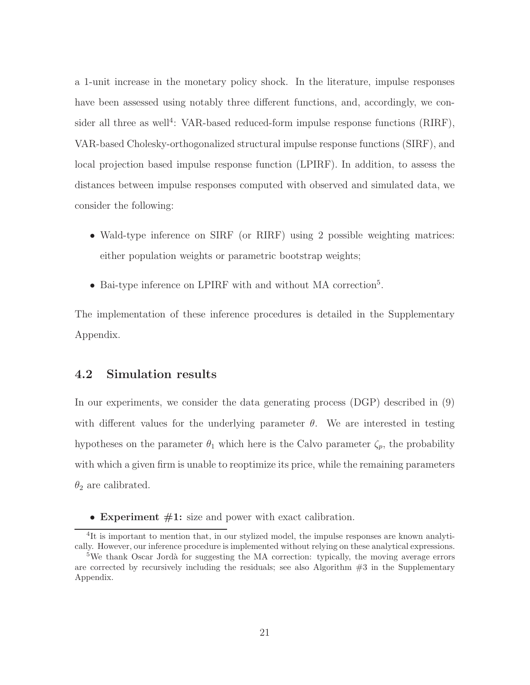a 1-unit increase in the monetary policy shock. In the literature, impulse responses have been assessed using notably three different functions, and, accordingly, we consider all three as well<sup>4</sup>: VAR-based reduced-form impulse response functions (RIRF), VAR-based Cholesky-orthogonalized structural impulse response functions (SIRF), and local projection based impulse response function (LPIRF). In addition, to assess the distances between impulse responses computed with observed and simulated data, we consider the following:

- Wald-type inference on SIRF (or RIRF) using 2 possible weighting matrices: either population weights or parametric bootstrap weights;
- Bai-type inference on LPIRF with and without MA correction<sup>5</sup> .

The implementation of these inference procedures is detailed in the Supplementary Appendix.

#### 4.2 Simulation results

In our experiments, we consider the data generating process (DGP) described in (9) with different values for the underlying parameter  $\theta$ . We are interested in testing hypotheses on the parameter  $\theta_1$  which here is the Calvo parameter  $\zeta_p$ , the probability with which a given firm is unable to reoptimize its price, while the remaining parameters  $\theta_2$  are calibrated.

• Experiment  $#1$ : size and power with exact calibration.

<sup>&</sup>lt;sup>4</sup>It is important to mention that, in our stylized model, the impulse responses are known analytically. However, our inference procedure is implemented without relying on these analytical expressions.

 $5$ We thank Oscar Jordà for suggesting the MA correction: typically, the moving average errors are corrected by recursively including the residuals; see also Algorithm  $#3$  in the Supplementary Appendix.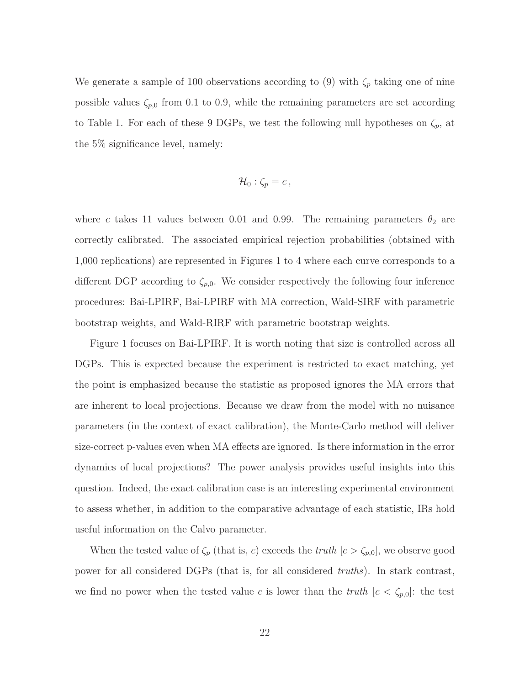We generate a sample of 100 observations according to (9) with  $\zeta_p$  taking one of nine possible values  $\zeta_{p,0}$  from 0.1 to 0.9, while the remaining parameters are set according to Table 1. For each of these 9 DGPs, we test the following null hypotheses on  $\zeta_p$ , at the 5% significance level, namely:

$$
\mathcal{H}_0: \zeta_p = c\,,
$$

where c takes 11 values between 0.01 and 0.99. The remaining parameters  $\theta_2$  are correctly calibrated. The associated empirical rejection probabilities (obtained with 1,000 replications) are represented in Figures 1 to 4 where each curve corresponds to a different DGP according to  $\zeta_{p,0}$ . We consider respectively the following four inference procedures: Bai-LPIRF, Bai-LPIRF with MA correction, Wald-SIRF with parametric bootstrap weights, and Wald-RIRF with parametric bootstrap weights.

Figure 1 focuses on Bai-LPIRF. It is worth noting that size is controlled across all DGPs. This is expected because the experiment is restricted to exact matching, yet the point is emphasized because the statistic as proposed ignores the MA errors that are inherent to local projections. Because we draw from the model with no nuisance parameters (in the context of exact calibration), the Monte-Carlo method will deliver size-correct p-values even when MA effects are ignored. Is there information in the error dynamics of local projections? The power analysis provides useful insights into this question. Indeed, the exact calibration case is an interesting experimental environment to assess whether, in addition to the comparative advantage of each statistic, IRs hold useful information on the Calvo parameter.

When the tested value of  $\zeta_p$  (that is, c) exceeds the truth  $[c > \zeta_{p,0}]$ , we observe good power for all considered DGPs (that is, for all considered truths). In stark contrast, we find no power when the tested value c is lower than the truth  $[c < \zeta_{p,0}]$ : the test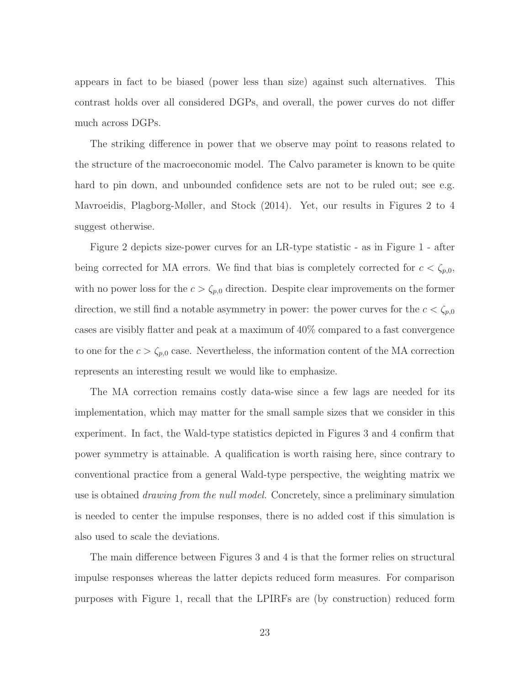appears in fact to be biased (power less than size) against such alternatives. This contrast holds over all considered DGPs, and overall, the power curves do not differ much across DGPs.

The striking difference in power that we observe may point to reasons related to the structure of the macroeconomic model. The Calvo parameter is known to be quite hard to pin down, and unbounded confidence sets are not to be ruled out; see e.g. Mavroeidis, Plagborg-Møller, and Stock (2014). Yet, our results in Figures 2 to 4 suggest otherwise.

Figure 2 depicts size-power curves for an LR-type statistic - as in Figure 1 - after being corrected for MA errors. We find that bias is completely corrected for  $c < \zeta_{p,0}$ , with no power loss for the  $c > \zeta_{p,0}$  direction. Despite clear improvements on the former direction, we still find a notable asymmetry in power: the power curves for the  $c < \zeta_{p,0}$ cases are visibly flatter and peak at a maximum of 40% compared to a fast convergence to one for the  $c > \zeta_{p,0}$  case. Nevertheless, the information content of the MA correction represents an interesting result we would like to emphasize.

The MA correction remains costly data-wise since a few lags are needed for its implementation, which may matter for the small sample sizes that we consider in this experiment. In fact, the Wald-type statistics depicted in Figures 3 and 4 confirm that power symmetry is attainable. A qualification is worth raising here, since contrary to conventional practice from a general Wald-type perspective, the weighting matrix we use is obtained drawing from the null model. Concretely, since a preliminary simulation is needed to center the impulse responses, there is no added cost if this simulation is also used to scale the deviations.

The main difference between Figures 3 and 4 is that the former relies on structural impulse responses whereas the latter depicts reduced form measures. For comparison purposes with Figure 1, recall that the LPIRFs are (by construction) reduced form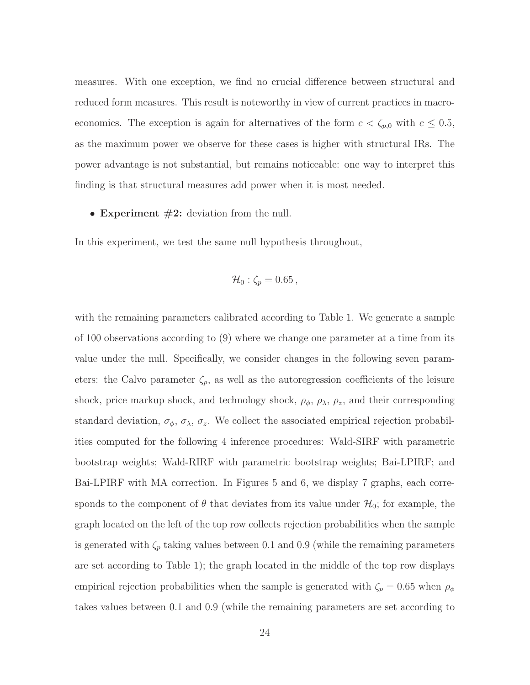measures. With one exception, we find no crucial difference between structural and reduced form measures. This result is noteworthy in view of current practices in macroeconomics. The exception is again for alternatives of the form  $c < \zeta_{p,0}$  with  $c \leq 0.5$ , as the maximum power we observe for these cases is higher with structural IRs. The power advantage is not substantial, but remains noticeable: one way to interpret this finding is that structural measures add power when it is most needed.

#### • Experiment  $#2$ : deviation from the null.

In this experiment, we test the same null hypothesis throughout,

$$
\mathcal{H}_0: \zeta_p = 0.65\,,
$$

with the remaining parameters calibrated according to Table 1. We generate a sample of 100 observations according to (9) where we change one parameter at a time from its value under the null. Specifically, we consider changes in the following seven parameters: the Calvo parameter  $\zeta_p$ , as well as the autoregression coefficients of the leisure shock, price markup shock, and technology shock,  $\rho_{\phi}$ ,  $\rho_{\lambda}$ ,  $\rho_{z}$ , and their corresponding standard deviation,  $\sigma_{\phi}$ ,  $\sigma_{\lambda}$ ,  $\sigma_{z}$ . We collect the associated empirical rejection probabilities computed for the following 4 inference procedures: Wald-SIRF with parametric bootstrap weights; Wald-RIRF with parametric bootstrap weights; Bai-LPIRF; and Bai-LPIRF with MA correction. In Figures 5 and 6, we display 7 graphs, each corresponds to the component of  $\theta$  that deviates from its value under  $\mathcal{H}_0$ ; for example, the graph located on the left of the top row collects rejection probabilities when the sample is generated with  $\zeta_p$  taking values between 0.1 and 0.9 (while the remaining parameters are set according to Table 1); the graph located in the middle of the top row displays empirical rejection probabilities when the sample is generated with  $\zeta_p = 0.65$  when  $\rho_\phi$ takes values between 0.1 and 0.9 (while the remaining parameters are set according to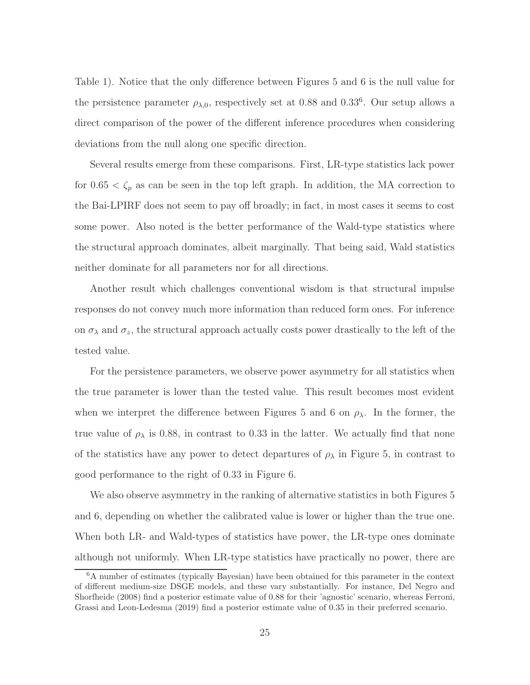Table 1). Notice that the only difference between Figures 5 and 6 is the null value for the persistence parameter  $\rho_{\lambda,0}$ , respectively set at 0.88 and 0.33<sup>6</sup>. Our setup allows a direct comparison of the power of the different inference procedures when considering deviations from the null along one specific direction.

Several results emerge from these comparisons. First, LR-type statistics lack power for  $0.65 < \zeta_p$  as can be seen in the top left graph. In addition, the MA correction to the Bai-LPIRF does not seem to pay off broadly; in fact, in most cases it seems to cost some power. Also noted is the better performance of the Wald-type statistics where the structural approach dominates, albeit marginally. That being said, Wald statistics neither dominate for all parameters nor for all directions.

Another result which challenges conventional wisdom is that structural impulse responses do not convey much more information than reduced form ones. For inference on  $\sigma_{\lambda}$  and  $\sigma_{z}$ , the structural approach actually costs power drastically to the left of the tested value.

For the persistence parameters, we observe power asymmetry for all statistics when the true parameter is lower than the tested value. This result becomes most evident when we interpret the difference between Figures 5 and 6 on  $\rho_{\lambda}$ . In the former, the true value of  $\rho_{\lambda}$  is 0.88, in contrast to 0.33 in the latter. We actually find that none of the statistics have any power to detect departures of  $\rho_{\lambda}$  in Figure 5, in contrast to good performance to the right of 0.33 in Figure 6.

We also observe asymmetry in the ranking of alternative statistics in both Figures 5 and 6, depending on whether the calibrated value is lower or higher than the true one. When both LR- and Wald-types of statistics have power, the LR-type ones dominate although not uniformly. When LR-type statistics have practically no power, there are

<sup>6</sup>A number of estimates (typically Bayesian) have been obtained for this parameter in the context of different medium-size DSGE models, and these vary substantially. For instance, Del Negro and Shorfheide (2008) find a posterior estimate value of 0.88 for their 'agnostic' scenario, whereas Ferroni, Grassi and Leon-Ledesma (2019) find a posterior estimate value of 0.35 in their preferred scenario.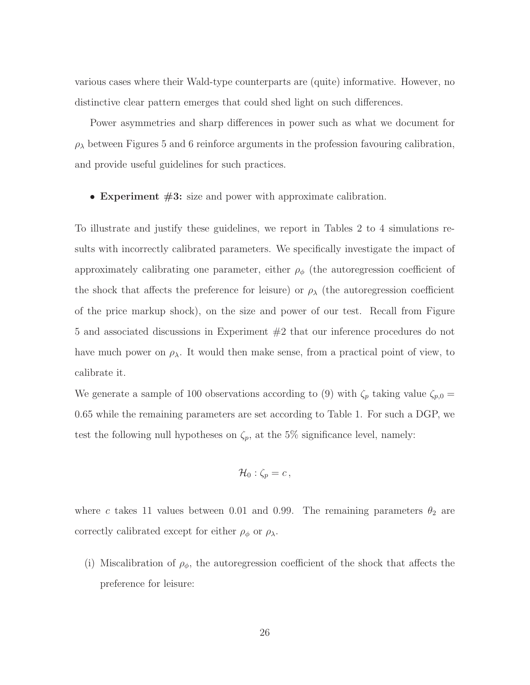various cases where their Wald-type counterparts are (quite) informative. However, no distinctive clear pattern emerges that could shed light on such differences.

Power asymmetries and sharp differences in power such as what we document for  $\rho_{\lambda}$  between Figures 5 and 6 reinforce arguments in the profession favouring calibration, and provide useful guidelines for such practices.

• Experiment  $#3$ : size and power with approximate calibration.

To illustrate and justify these guidelines, we report in Tables 2 to 4 simulations results with incorrectly calibrated parameters. We specifically investigate the impact of approximately calibrating one parameter, either  $\rho_{\phi}$  (the autoregression coefficient of the shock that affects the preference for leisure) or  $\rho_{\lambda}$  (the autoregression coefficient of the price markup shock), on the size and power of our test. Recall from Figure 5 and associated discussions in Experiment #2 that our inference procedures do not have much power on  $\rho_{\lambda}$ . It would then make sense, from a practical point of view, to calibrate it.

We generate a sample of 100 observations according to (9) with  $\zeta_p$  taking value  $\zeta_{p,0}$  = 0.65 while the remaining parameters are set according to Table 1. For such a DGP, we test the following null hypotheses on  $\zeta_p$ , at the 5% significance level, namely:

$$
\mathcal{H}_0: \zeta_p = c\,,
$$

where c takes 11 values between 0.01 and 0.99. The remaining parameters  $\theta_2$  are correctly calibrated except for either  $\rho_{\phi}$  or  $\rho_{\lambda}$ .

(i) Miscalibration of  $\rho_{\phi}$ , the autoregression coefficient of the shock that affects the preference for leisure: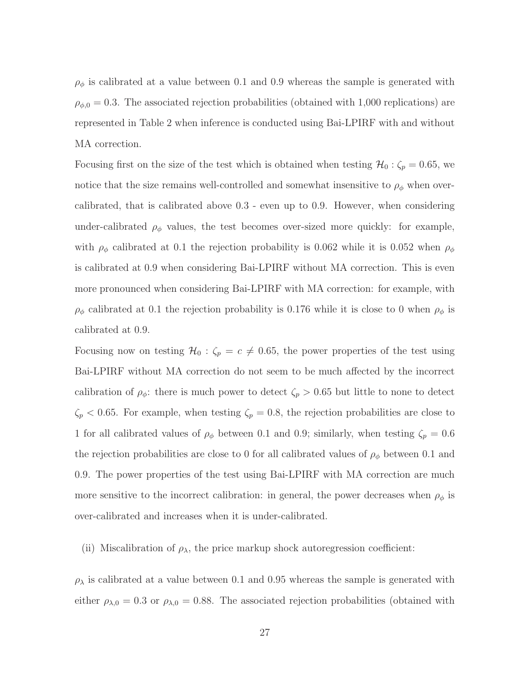$\rho_{\phi}$  is calibrated at a value between 0.1 and 0.9 whereas the sample is generated with  $\rho_{\phi,0} = 0.3$ . The associated rejection probabilities (obtained with 1,000 replications) are represented in Table 2 when inference is conducted using Bai-LPIRF with and without MA correction.

Focusing first on the size of the test which is obtained when testing  $\mathcal{H}_0 : \zeta_p = 0.65$ , we notice that the size remains well-controlled and somewhat insensitive to  $\rho_{\phi}$  when overcalibrated, that is calibrated above 0.3 - even up to 0.9. However, when considering under-calibrated  $\rho_{\phi}$  values, the test becomes over-sized more quickly: for example, with  $\rho_{\phi}$  calibrated at 0.1 the rejection probability is 0.062 while it is 0.052 when  $\rho_{\phi}$ is calibrated at 0.9 when considering Bai-LPIRF without MA correction. This is even more pronounced when considering Bai-LPIRF with MA correction: for example, with  $\rho_{\phi}$  calibrated at 0.1 the rejection probability is 0.176 while it is close to 0 when  $\rho_{\phi}$  is calibrated at 0.9.

Focusing now on testing  $\mathcal{H}_0$ :  $\zeta_p = c \neq 0.65$ , the power properties of the test using Bai-LPIRF without MA correction do not seem to be much affected by the incorrect calibration of  $\rho_{\phi}$ : there is much power to detect  $\zeta_p > 0.65$  but little to none to detect  $\zeta_p < 0.65$ . For example, when testing  $\zeta_p = 0.8$ , the rejection probabilities are close to 1 for all calibrated values of  $\rho_{\phi}$  between 0.1 and 0.9; similarly, when testing  $\zeta_p = 0.6$ the rejection probabilities are close to 0 for all calibrated values of  $\rho_{\phi}$  between 0.1 and 0.9. The power properties of the test using Bai-LPIRF with MA correction are much more sensitive to the incorrect calibration: in general, the power decreases when  $\rho_{\phi}$  is over-calibrated and increases when it is under-calibrated.

#### (ii) Miscalibration of  $\rho_{\lambda}$ , the price markup shock autoregression coefficient:

 $\rho_{\lambda}$  is calibrated at a value between 0.1 and 0.95 whereas the sample is generated with either  $\rho_{\lambda,0} = 0.3$  or  $\rho_{\lambda,0} = 0.88$ . The associated rejection probabilities (obtained with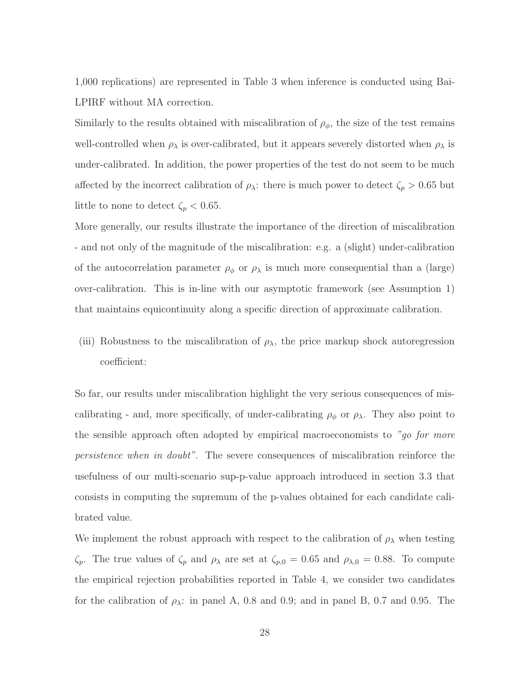1,000 replications) are represented in Table 3 when inference is conducted using Bai-LPIRF without MA correction.

Similarly to the results obtained with miscalibration of  $\rho_{\phi}$ , the size of the test remains well-controlled when  $\rho_{\lambda}$  is over-calibrated, but it appears severely distorted when  $\rho_{\lambda}$  is under-calibrated. In addition, the power properties of the test do not seem to be much affected by the incorrect calibration of  $\rho_{\lambda}$ : there is much power to detect  $\zeta_p > 0.65$  but little to none to detect  $\zeta_p < 0.65$ .

More generally, our results illustrate the importance of the direction of miscalibration - and not only of the magnitude of the miscalibration: e.g. a (slight) under-calibration of the autocorrelation parameter  $\rho_{\phi}$  or  $\rho_{\lambda}$  is much more consequential than a (large) over-calibration. This is in-line with our asymptotic framework (see Assumption 1) that maintains equicontinuity along a specific direction of approximate calibration.

(iii) Robustness to the miscalibration of  $\rho_{\lambda}$ , the price markup shock autoregression coefficient:

So far, our results under miscalibration highlight the very serious consequences of miscalibrating - and, more specifically, of under-calibrating  $\rho_{\phi}$  or  $\rho_{\lambda}$ . They also point to the sensible approach often adopted by empirical macroeconomists to "go for more persistence when in doubt". The severe consequences of miscalibration reinforce the usefulness of our multi-scenario sup-p-value approach introduced in section 3.3 that consists in computing the supremum of the p-values obtained for each candidate calibrated value.

We implement the robust approach with respect to the calibration of  $\rho_{\lambda}$  when testing  $\zeta_p$ . The true values of  $\zeta_p$  and  $\rho_\lambda$  are set at  $\zeta_{p,0} = 0.65$  and  $\rho_{\lambda,0} = 0.88$ . To compute the empirical rejection probabilities reported in Table 4, we consider two candidates for the calibration of  $\rho_{\lambda}$ : in panel A, 0.8 and 0.9; and in panel B, 0.7 and 0.95. The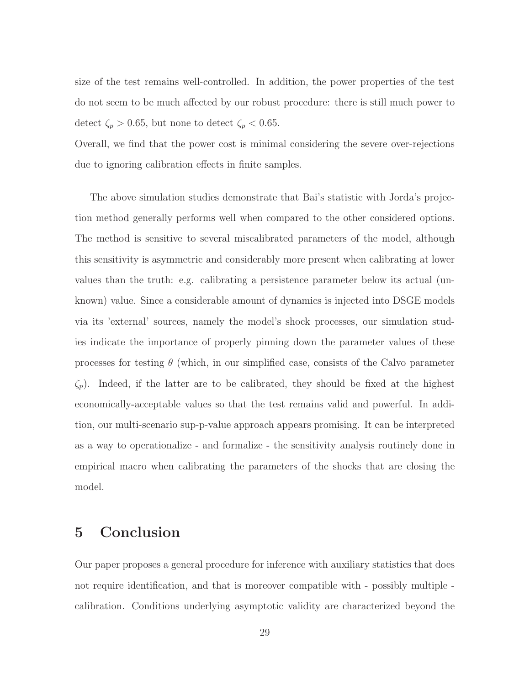size of the test remains well-controlled. In addition, the power properties of the test do not seem to be much affected by our robust procedure: there is still much power to detect  $\zeta_p > 0.65$ , but none to detect  $\zeta_p < 0.65$ .

Overall, we find that the power cost is minimal considering the severe over-rejections due to ignoring calibration effects in finite samples.

The above simulation studies demonstrate that Bai's statistic with Jorda's projection method generally performs well when compared to the other considered options. The method is sensitive to several miscalibrated parameters of the model, although this sensitivity is asymmetric and considerably more present when calibrating at lower values than the truth: e.g. calibrating a persistence parameter below its actual (unknown) value. Since a considerable amount of dynamics is injected into DSGE models via its 'external' sources, namely the model's shock processes, our simulation studies indicate the importance of properly pinning down the parameter values of these processes for testing  $\theta$  (which, in our simplified case, consists of the Calvo parameter  $\zeta_p$ ). Indeed, if the latter are to be calibrated, they should be fixed at the highest economically-acceptable values so that the test remains valid and powerful. In addition, our multi-scenario sup-p-value approach appears promising. It can be interpreted as a way to operationalize - and formalize - the sensitivity analysis routinely done in empirical macro when calibrating the parameters of the shocks that are closing the model.

## 5 Conclusion

Our paper proposes a general procedure for inference with auxiliary statistics that does not require identification, and that is moreover compatible with - possibly multiple calibration. Conditions underlying asymptotic validity are characterized beyond the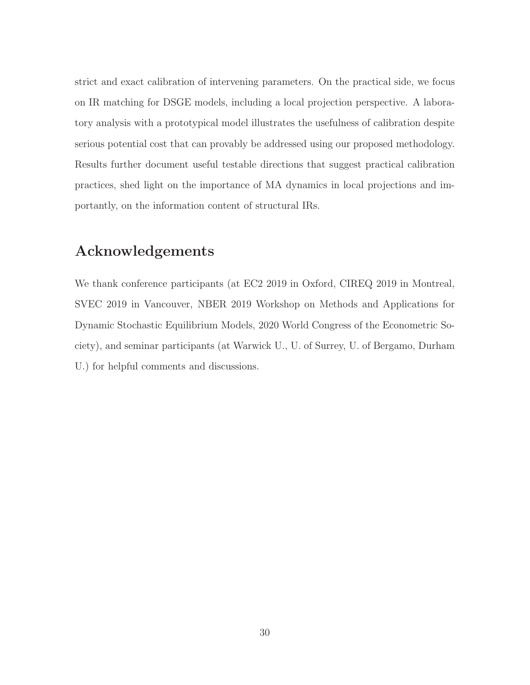strict and exact calibration of intervening parameters. On the practical side, we focus on IR matching for DSGE models, including a local projection perspective. A laboratory analysis with a prototypical model illustrates the usefulness of calibration despite serious potential cost that can provably be addressed using our proposed methodology. Results further document useful testable directions that suggest practical calibration practices, shed light on the importance of MA dynamics in local projections and importantly, on the information content of structural IRs.

## Acknowledgements

We thank conference participants (at EC2 2019 in Oxford, CIREQ 2019 in Montreal, SVEC 2019 in Vancouver, NBER 2019 Workshop on Methods and Applications for Dynamic Stochastic Equilibrium Models, 2020 World Congress of the Econometric Society), and seminar participants (at Warwick U., U. of Surrey, U. of Bergamo, Durham U.) for helpful comments and discussions.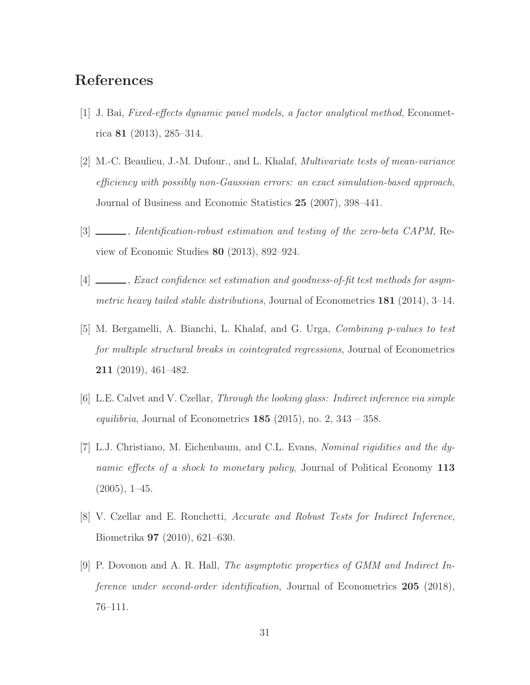## References

- [1] J. Bai, Fixed-effects dynamic panel models, a factor analytical method, Econometrica 81 (2013), 285–314.
- [2] M.-C. Beaulieu, J.-M. Dufour., and L. Khalaf, Multivariate tests of mean-variance efficiency with possibly non-Gaussian errors: an exact simulation-based approach, Journal of Business and Economic Statistics 25 (2007), 398–441.
- [3]  $\_\_\_\_\_\_\$  *Identification-robust estimation and testing of the zero-beta CAPM*, Review of Economic Studies 80 (2013), 892–924.
- [4] \_\_\_\_\_, Exact confidence set estimation and goodness-of-fit test methods for asymmetric heavy tailed stable distributions, Journal of Econometrics 181 (2014), 3–14.
- [5] M. Bergamelli, A. Bianchi, L. Khalaf, and G. Urga, Combining p-values to test for multiple structural breaks in cointegrated regressions, Journal of Econometrics 211 (2019), 461–482.
- [6] L.E. Calvet and V. Czellar, Through the looking glass: Indirect inference via simple equilibria, Journal of Econometrics  $185$  (2015), no. 2, 343 – 358.
- [7] L.J. Christiano, M. Eichenbaum, and C.L. Evans, Nominal rigidities and the dynamic effects of a shock to monetary policy, Journal of Political Economy 113  $(2005), 1-45.$
- [8] V. Czellar and E. Ronchetti, Accurate and Robust Tests for Indirect Inference, Biometrika 97 (2010), 621–630.
- [9] P. Dovonon and A. R. Hall, The asymptotic properties of GMM and Indirect Inference under second-order identification, Journal of Econometrics 205 (2018), 76–111.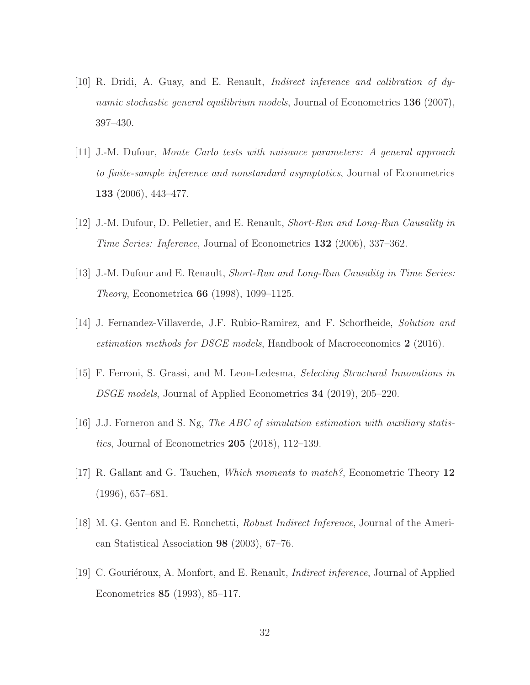- [10] R. Dridi, A. Guay, and E. Renault, Indirect inference and calibration of dynamic stochastic general equilibrium models, Journal of Econometrics 136 (2007), 397–430.
- [11] J.-M. Dufour, Monte Carlo tests with nuisance parameters: A general approach to finite-sample inference and nonstandard asymptotics, Journal of Econometrics 133 (2006), 443–477.
- [12] J.-M. Dufour, D. Pelletier, and E. Renault, Short-Run and Long-Run Causality in Time Series: Inference, Journal of Econometrics 132 (2006), 337–362.
- [13] J.-M. Dufour and E. Renault, Short-Run and Long-Run Causality in Time Series: Theory, Econometrica 66 (1998), 1099–1125.
- [14] J. Fernandez-Villaverde, J.F. Rubio-Ramirez, and F. Schorfheide, Solution and estimation methods for DSGE models, Handbook of Macroeconomics 2 (2016).
- [15] F. Ferroni, S. Grassi, and M. Leon-Ledesma, Selecting Structural Innovations in DSGE models, Journal of Applied Econometrics 34 (2019), 205–220.
- [16] J.J. Forneron and S. Ng, The ABC of simulation estimation with auxiliary statistics, Journal of Econometrics  $205$  (2018), 112–139.
- [17] R. Gallant and G. Tauchen, Which moments to match?, Econometric Theory 12 (1996), 657–681.
- [18] M. G. Genton and E. Ronchetti, Robust Indirect Inference, Journal of the American Statistical Association 98 (2003), 67–76.
- [19] C. Gouriéroux, A. Monfort, and E. Renault, *Indirect inference*, Journal of Applied Econometrics 85 (1993), 85–117.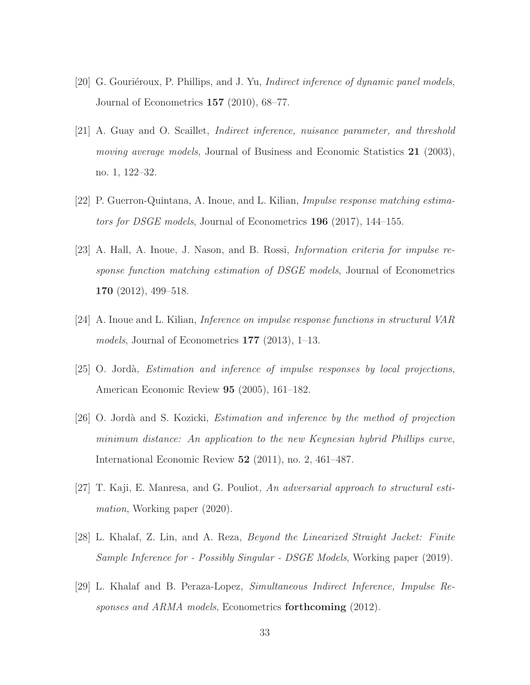- [20] G. Gouriéroux, P. Phillips, and J. Yu, *Indirect inference of dynamic panel models*, Journal of Econometrics 157 (2010), 68–77.
- [21] A. Guay and O. Scaillet, Indirect inference, nuisance parameter, and threshold moving average models, Journal of Business and Economic Statistics 21 (2003), no. 1, 122–32.
- [22] P. Guerron-Quintana, A. Inoue, and L. Kilian, Impulse response matching estimators for DSGE models, Journal of Econometrics 196 (2017), 144–155.
- [23] A. Hall, A. Inoue, J. Nason, and B. Rossi, Information criteria for impulse response function matching estimation of DSGE models, Journal of Econometrics 170 (2012), 499–518.
- [24] A. Inoue and L. Kilian, Inference on impulse response functions in structural VAR models, Journal of Econometrics 177 (2013), 1–13.
- $[25]$  O. Jordà, *Estimation and inference of impulse responses by local projections*, American Economic Review 95 (2005), 161–182.
- [26] O. Jordà and S. Kozicki, *Estimation and inference by the method of projection* minimum distance: An application to the new Keynesian hybrid Phillips curve, International Economic Review 52 (2011), no. 2, 461–487.
- [27] T. Kaji, E. Manresa, and G. Pouliot, An adversarial approach to structural estimation, Working paper (2020).
- [28] L. Khalaf, Z. Lin, and A. Reza, Beyond the Linearized Straight Jacket: Finite Sample Inference for - Possibly Singular - DSGE Models, Working paper (2019).
- [29] L. Khalaf and B. Peraza-Lopez, Simultaneous Indirect Inference, Impulse Responses and ARMA models, Econometrics forthcoming (2012).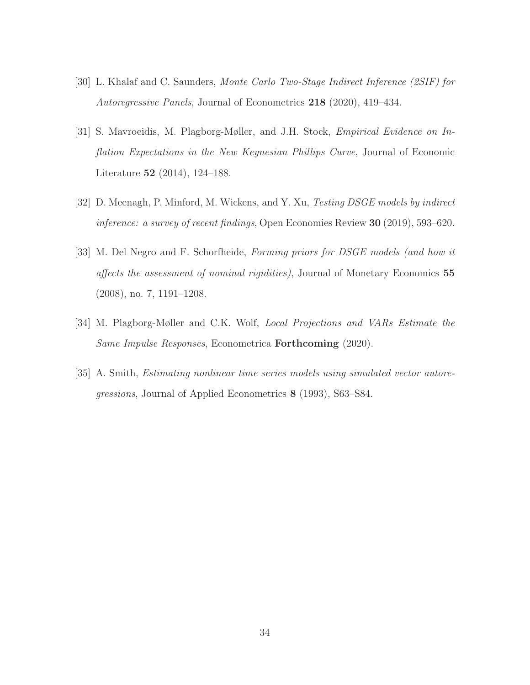- [30] L. Khalaf and C. Saunders, Monte Carlo Two-Stage Indirect Inference (2SIF) for Autoregressive Panels, Journal of Econometrics 218 (2020), 419–434.
- [31] S. Mavroeidis, M. Plagborg-Møller, and J.H. Stock, Empirical Evidence on Inflation Expectations in the New Keynesian Phillips Curve, Journal of Economic Literature 52 (2014), 124–188.
- [32] D. Meenagh, P. Minford, M. Wickens, and Y. Xu, Testing DSGE models by indirect inference: a survey of recent findings, Open Economies Review 30 (2019), 593–620.
- [33] M. Del Negro and F. Schorfheide, Forming priors for DSGE models (and how it affects the assessment of nominal rigidities), Journal of Monetary Economics 55 (2008), no. 7, 1191–1208.
- [34] M. Plagborg-Møller and C.K. Wolf, Local Projections and VARs Estimate the Same Impulse Responses, Econometrica Forthcoming (2020).
- [35] A. Smith, Estimating nonlinear time series models using simulated vector autoregressions, Journal of Applied Econometrics 8 (1993), S63–S84.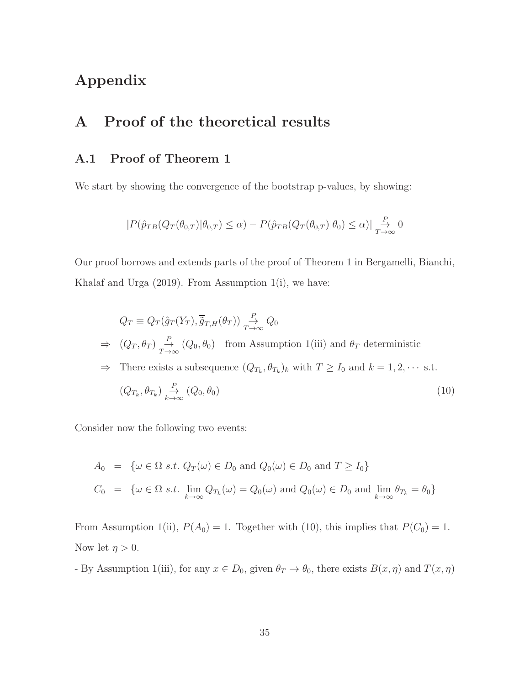# Appendix

# A Proof of the theoretical results

## A.1 Proof of Theorem 1

We start by showing the convergence of the bootstrap p-values, by showing:

$$
|P(\hat{p}_{TB}(Q_T(\theta_{0,T})|\theta_{0,T}) \leq \alpha) - P(\hat{p}_{TB}(Q_T(\theta_{0,T})|\theta_0) \leq \alpha)| \underset{T \to \infty}{\overset{P}{\to}} 0
$$

Our proof borrows and extends parts of the proof of Theorem 1 in Bergamelli, Bianchi, Khalaf and Urga  $(2019)$ . From Assumption 1(i), we have:

$$
Q_T \equiv Q_T(\hat{g}_T(Y_T), \overline{\tilde{g}}_{T,H}(\theta_T)) \xrightarrow{T \to \infty} Q_0
$$
  
\n
$$
\Rightarrow (Q_T, \theta_T) \xrightarrow{T \to \infty} (Q_0, \theta_0) \text{ from Assumption 1(iii) and } \theta_T \text{ deterministic}
$$
  
\n
$$
\Rightarrow \text{ There exists a subsequence } (Q_{T_k}, \theta_{T_k})_k \text{ with } T \ge I_0 \text{ and } k = 1, 2, \cdots \text{ s.t.}
$$
  
\n
$$
(Q_{T_k}, \theta_{T_k}) \xrightarrow[k \to \infty]{} \{Q_0, \theta_0\}
$$
\n(10)

Consider now the following two events:

$$
A_0 = \{ \omega \in \Omega \text{ s.t. } Q_T(\omega) \in D_0 \text{ and } Q_0(\omega) \in D_0 \text{ and } T \ge I_0 \}
$$
  

$$
C_0 = \{ \omega \in \Omega \text{ s.t. } \lim_{k \to \infty} Q_{T_k}(\omega) = Q_0(\omega) \text{ and } Q_0(\omega) \in D_0 \text{ and } \lim_{k \to \infty} \theta_{T_k} = \theta_0 \}
$$

From Assumption 1(ii),  $P(A_0) = 1$ . Together with (10), this implies that  $P(C_0) = 1$ . Now let  $\eta > 0$ .

- By Assumption 1(iii), for any  $x \in D_0$ , given  $\theta_T \to \theta_0$ , there exists  $B(x, \eta)$  and  $T(x, \eta)$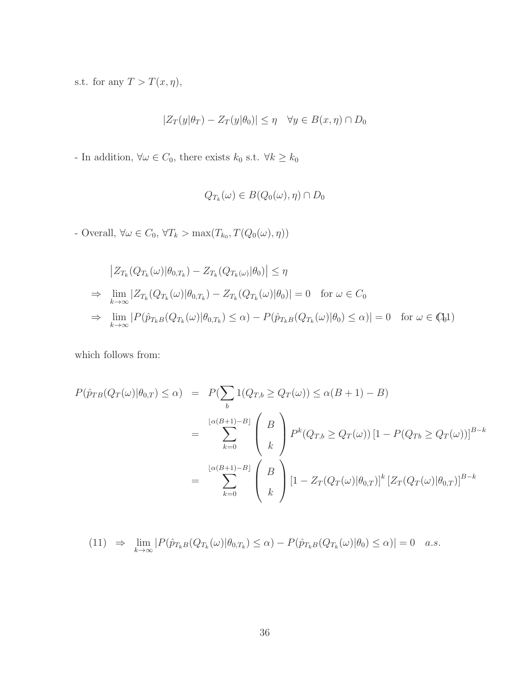s.t. for any  $T > T(x, \eta)$ ,

$$
|Z_T(y|\theta_T) - Z_T(y|\theta_0)| \le \eta \quad \forall y \in B(x, \eta) \cap D_0
$$

- In addition,  $\forall \omega \in C_0,$  there exists  $k_0$  s.t.  $\forall k \geq k_0$ 

$$
Q_{T_k}(\omega) \in B(Q_0(\omega), \eta) \cap D_0
$$

- Overall,  $\forall \omega \in C_0$ ,  $\forall T_k > \max(T_{k_0}, T(Q_0(\omega), \eta))$ 

$$
\begin{aligned}\n\left|Z_{T_k}(Q_{T_k}(\omega)|\theta_{0,T_k}) - Z_{T_k}(Q_{T_k(\omega)}|\theta_0)\right| &\leq \eta \\
&\Rightarrow \lim_{k \to \infty} \left|Z_{T_k}(Q_{T_k}(\omega)|\theta_{0,T_k}) - Z_{T_k}(Q_{T_k}(\omega)|\theta_0)\right| &= 0 \quad \text{for } \omega \in C_0 \\
&\Rightarrow \lim_{k \to \infty} \left|P(\hat{p}_{T_kB}(Q_{T_k}(\omega)|\theta_{0,T_k}) \leq \alpha) - P(\hat{p}_{T_kB}(Q_{T_k}(\omega)|\theta_0) \leq \alpha)\right| &= 0 \quad \text{for } \omega \in \mathbb{Q}_0\text{1}\n\end{aligned}
$$

which follows from:

$$
P(\hat{p}_{TB}(Q_T(\omega)|\theta_{0,T}) \le \alpha) = P(\sum_b 1(Q_{T,b} \ge Q_T(\omega)) \le \alpha(B+1) - B)
$$
  
= 
$$
\sum_{k=0}^{\lfloor \alpha(B+1) - B \rfloor} \binom{B}{k} P^k(Q_{T,b} \ge Q_T(\omega)) [1 - P(Q_{Tb} \ge Q_T(\omega))]^{B-k}
$$
  
= 
$$
\sum_{k=0}^{\lfloor \alpha(B+1) - B \rfloor} \binom{B}{k} [1 - Z_T(Q_T(\omega)|\theta_{0,T})]^k [Z_T(Q_T(\omega)|\theta_{0,T})]^{B-k}
$$

$$
(11) \Rightarrow \lim_{k \to \infty} |P(\hat{p}_{T_kB}(Q_{T_k}(\omega)|\theta_{0,T_k}) \le \alpha) - P(\hat{p}_{T_kB}(Q_{T_k}(\omega)|\theta_0) \le \alpha)| = 0 \quad a.s.
$$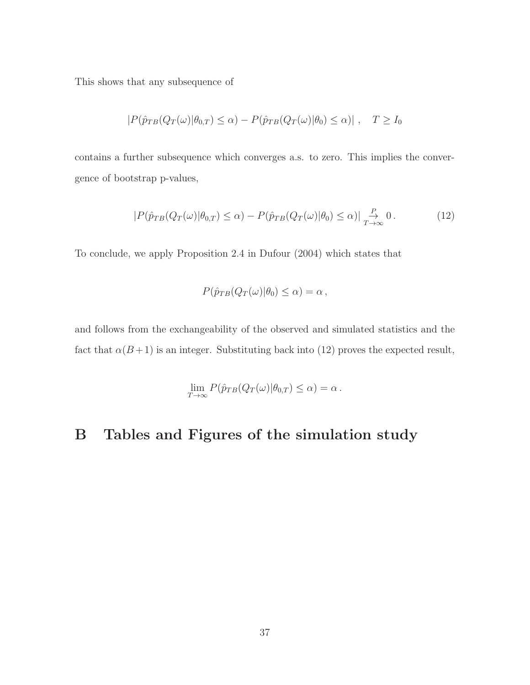This shows that any subsequence of

$$
|P(\hat{p}_{TB}(Q_T(\omega)|\theta_{0,T}) \le \alpha) - P(\hat{p}_{TB}(Q_T(\omega)|\theta_0) \le \alpha)| , \quad T \ge I_0
$$

contains a further subsequence which converges a.s. to zero. This implies the convergence of bootstrap p-values,

$$
|P(\hat{p}_{TB}(Q_T(\omega)|\theta_{0,T}) \le \alpha) - P(\hat{p}_{TB}(Q_T(\omega)|\theta_0) \le \alpha)| \underset{T \to \infty}{\overset{P}{\to}} 0. \tag{12}
$$

To conclude, we apply Proposition 2.4 in Dufour (2004) which states that

$$
P(\hat{p}_{TB}(Q_T(\omega)|\theta_0) \leq \alpha) = \alpha,
$$

and follows from the exchangeability of the observed and simulated statistics and the fact that  $\alpha(B+1)$  is an integer. Substituting back into (12) proves the expected result,

$$
\lim_{T \to \infty} P(\hat{p}_{TB}(Q_T(\omega)|\theta_{0,T}) \le \alpha) = \alpha.
$$

# B Tables and Figures of the simulation study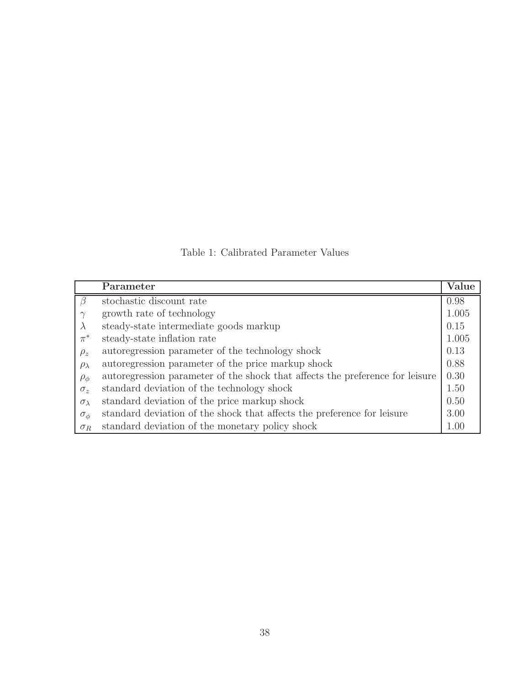Table 1: Calibrated Parameter Values

|                    | Parameter                                                                     | Value |
|--------------------|-------------------------------------------------------------------------------|-------|
|                    | stochastic discount rate                                                      | 0.98  |
|                    | growth rate of technology                                                     | 1.005 |
|                    | steady-state intermediate goods markup                                        | 0.15  |
| $\pi^*$            | steady-state inflation rate                                                   | 1.005 |
| $\rho_z$           | autoregression parameter of the technology shock                              | 0.13  |
| $\rho_{\lambda}$   | autoregression parameter of the price markup shock                            | 0.88  |
| $\rho_{\phi}$      | autoregression parameter of the shock that affects the preference for leisure | 0.30  |
| $\sigma_z$         | standard deviation of the technology shock                                    | 1.50  |
| $\sigma_{\lambda}$ | standard deviation of the price markup shock                                  | 0.50  |
| $\sigma_{\phi}$    | standard deviation of the shock that affects the preference for leisure       | 3.00  |
| $\sigma_R$         | standard deviation of the monetary policy shock                               | 1.00  |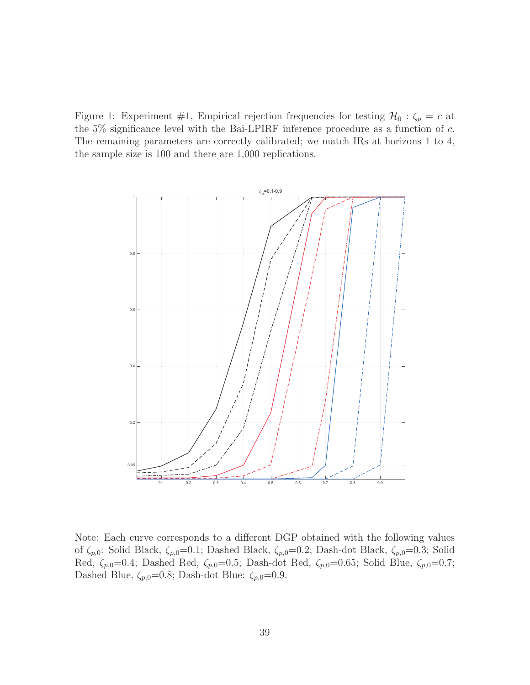Figure 1: Experiment #1, Empirical rejection frequencies for testing  $\mathcal{H}_0$  :  $\zeta_p = c$  at the 5% significance level with the Bai-LPIRF inference procedure as a function of c. The remaining parameters are correctly calibrated; we match IRs at horizons 1 to 4, the sample size is 100 and there are 1,000 replications.



Note: Each curve corresponds to a different DGP obtained with the following values of  $\zeta_{p,0}$ : Solid Black,  $\zeta_{p,0}=0.1$ ; Dashed Black,  $\zeta_{p,0}=0.2$ ; Dash-dot Black,  $\zeta_{p,0}=0.3$ ; Solid Red,  $\zeta_{p,0}=0.4$ ; Dashed Red,  $\zeta_{p,0}=0.5$ ; Dash-dot Red,  $\zeta_{p,0}=0.65$ ; Solid Blue,  $\zeta_{p,0}=0.7$ ; Dashed Blue,  $\zeta_{p,0}=0.8$ ; Dash-dot Blue:  $\zeta_{p,0}=0.9$ .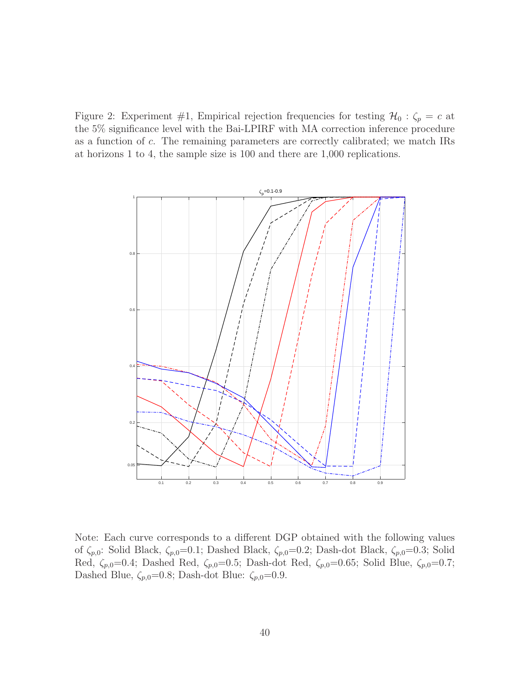Figure 2: Experiment #1, Empirical rejection frequencies for testing  $\mathcal{H}_0$  :  $\zeta_p = c$  at the 5% significance level with the Bai-LPIRF with MA correction inference procedure as a function of c. The remaining parameters are correctly calibrated; we match IRs at horizons 1 to 4, the sample size is 100 and there are 1,000 replications.



Note: Each curve corresponds to a different DGP obtained with the following values of  $\zeta_{p,0}$ : Solid Black,  $\zeta_{p,0}=0.1$ ; Dashed Black,  $\zeta_{p,0}=0.2$ ; Dash-dot Black,  $\zeta_{p,0}=0.3$ ; Solid Red,  $\zeta_{p,0}=0.4$ ; Dashed Red,  $\zeta_{p,0}=0.5$ ; Dash-dot Red,  $\zeta_{p,0}=0.65$ ; Solid Blue,  $\zeta_{p,0}=0.7$ ; Dashed Blue,  $\zeta_{p,0}=0.8$ ; Dash-dot Blue:  $\zeta_{p,0}=0.9$ .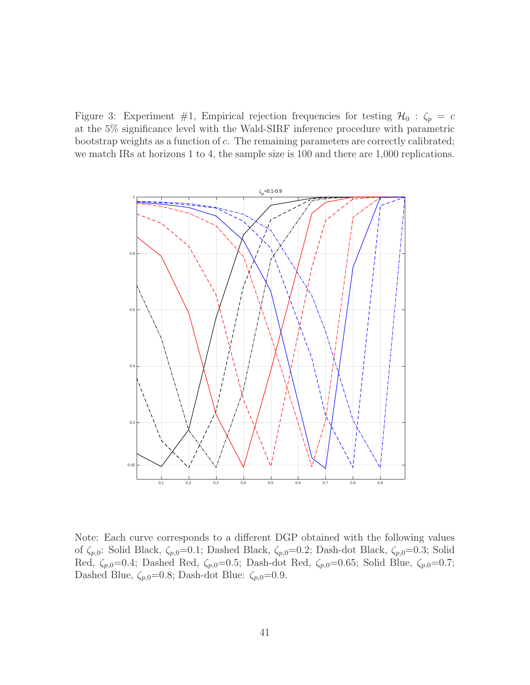Figure 3: Experiment #1, Empirical rejection frequencies for testing  $\mathcal{H}_0$  :  $\zeta_p = c$ at the 5% significance level with the Wald-SIRF inference procedure with parametric bootstrap weights as a function of c. The remaining parameters are correctly calibrated; we match IRs at horizons 1 to 4, the sample size is 100 and there are 1,000 replications.



Note: Each curve corresponds to a different DGP obtained with the following values of  $\zeta_{p,0}$ : Solid Black,  $\zeta_{p,0}=0.1$ ; Dashed Black,  $\zeta_{p,0}=0.2$ ; Dash-dot Black,  $\zeta_{p,0}=0.3$ ; Solid Red,  $\zeta_{p,0}=0.4$ ; Dashed Red,  $\zeta_{p,0}=0.5$ ; Dash-dot Red,  $\zeta_{p,0}=0.65$ ; Solid Blue,  $\zeta_{p,0}=0.7$ ; Dashed Blue,  $\zeta_{p,0}=0.8$ ; Dash-dot Blue:  $\zeta_{p,0}=0.9$ .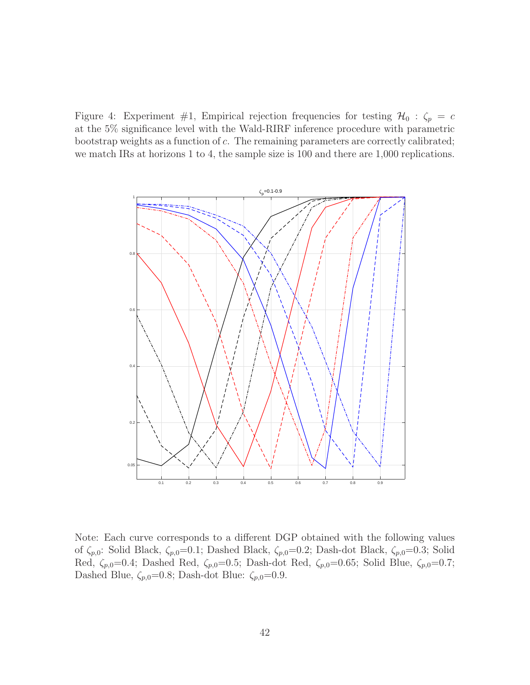Figure 4: Experiment #1, Empirical rejection frequencies for testing  $\mathcal{H}_0$  :  $\zeta_p = c$ at the 5% significance level with the Wald-RIRF inference procedure with parametric bootstrap weights as a function of c. The remaining parameters are correctly calibrated; we match IRs at horizons 1 to 4, the sample size is 100 and there are 1,000 replications.



Note: Each curve corresponds to a different DGP obtained with the following values of  $\zeta_{p,0}$ : Solid Black,  $\zeta_{p,0}=0.1$ ; Dashed Black,  $\zeta_{p,0}=0.2$ ; Dash-dot Black,  $\zeta_{p,0}=0.3$ ; Solid Red,  $\zeta_{p,0}=0.4$ ; Dashed Red,  $\zeta_{p,0}=0.5$ ; Dash-dot Red,  $\zeta_{p,0}=0.65$ ; Solid Blue,  $\zeta_{p,0}=0.7$ ; Dashed Blue,  $\zeta_{p,0}=0.8$ ; Dash-dot Blue:  $\zeta_{p,0}=0.9$ .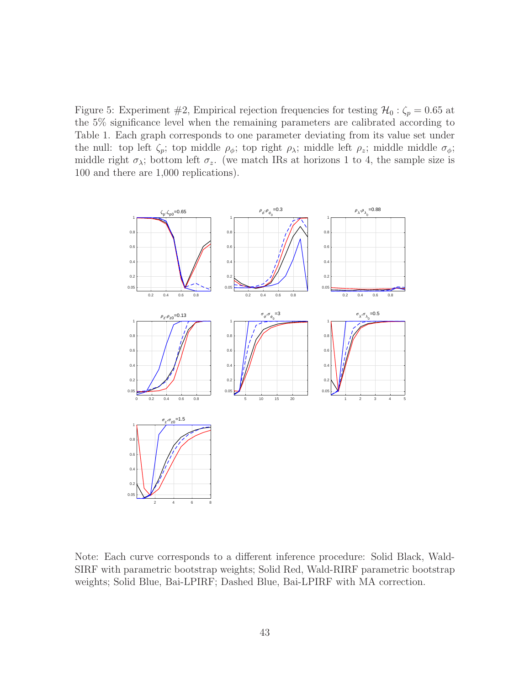Figure 5: Experiment #2, Empirical rejection frequencies for testing  $\mathcal{H}_0 : \zeta_p = 0.65$  at the 5% significance level when the remaining parameters are calibrated according to Table 1. Each graph corresponds to one parameter deviating from its value set under the null: top left  $\zeta_p$ ; top middle  $\rho_\phi$ ; top right  $\rho_\lambda$ ; middle left  $\rho_z$ ; middle middle  $\sigma_\phi$ ; middle right  $\sigma_{\lambda}$ ; bottom left  $\sigma_{z}$ . (we match IRs at horizons 1 to 4, the sample size is 100 and there are 1,000 replications).



Note: Each curve corresponds to a different inference procedure: Solid Black, Wald-SIRF with parametric bootstrap weights; Solid Red, Wald-RIRF parametric bootstrap weights; Solid Blue, Bai-LPIRF; Dashed Blue, Bai-LPIRF with MA correction.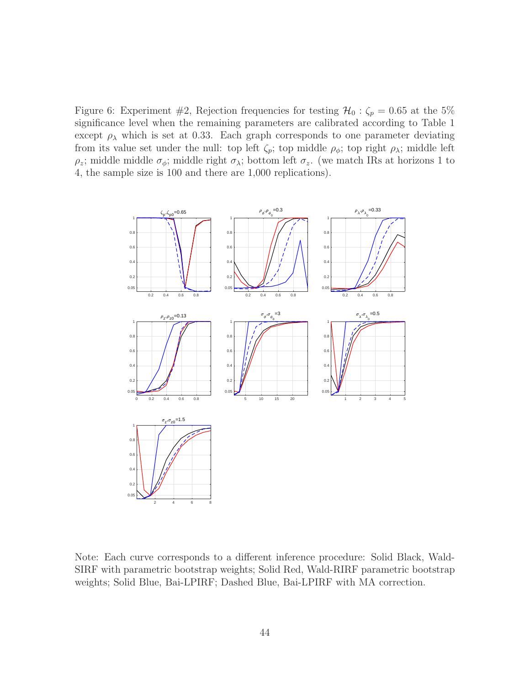Figure 6: Experiment #2, Rejection frequencies for testing  $\mathcal{H}_0$  :  $\zeta_p = 0.65$  at the 5% significance level when the remaining parameters are calibrated according to Table 1 except  $\rho_{\lambda}$  which is set at 0.33. Each graph corresponds to one parameter deviating from its value set under the null: top left  $\zeta_p$ ; top middle  $\rho_{\phi}$ ; top right  $\rho_{\lambda}$ ; middle left  $\rho_z$ ; middle middle  $\sigma_{\phi}$ ; middle right  $\sigma_{\lambda}$ ; bottom left  $\sigma_z$ . (we match IRs at horizons 1 to 4, the sample size is 100 and there are 1,000 replications).



Note: Each curve corresponds to a different inference procedure: Solid Black, Wald-SIRF with parametric bootstrap weights; Solid Red, Wald-RIRF parametric bootstrap weights; Solid Blue, Bai-LPIRF; Dashed Blue, Bai-LPIRF with MA correction.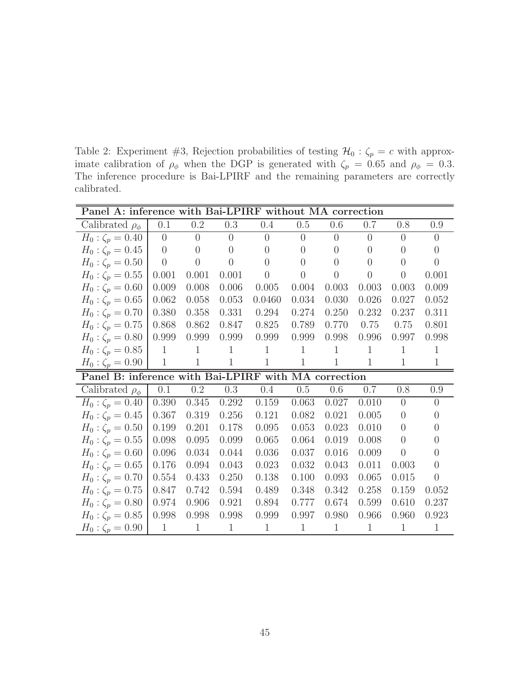Table 2: Experiment #3, Rejection probabilities of testing  $\mathcal{H}_0$  :  $\zeta_p = c$  with approximate calibration of  $\rho_{\phi}$  when the DGP is generated with  $\zeta_p = 0.65$  and  $\rho_{\phi} = 0.3$ . The inference procedure is Bai-LPIRF and the remaining parameters are correctly calibrated.

| Panel A: inference with Bai-LPIRF without MA correction |                |                |                |                |                |                |                |                |                  |
|---------------------------------------------------------|----------------|----------------|----------------|----------------|----------------|----------------|----------------|----------------|------------------|
| Calibrated $\rho_{\phi}$                                | 0.1            | 0.2            | 0.3            | 0.4            | 0.5            | 0.6            | 0.7            | 0.8            | 0.9              |
| $H_0: \zeta_p = 0.40$                                   | $\theta$       | $\theta$       | $\overline{0}$ | $\overline{0}$ | $\overline{0}$ | $\theta$       | $\theta$       | $\theta$       | $\theta$         |
| $H_0: \zeta_p = 0.45$                                   | $\overline{0}$ | $\theta$       | $\overline{0}$ | $\overline{0}$ | $\overline{0}$ | $\theta$       | $\theta$       | $\overline{0}$ | $\overline{0}$   |
| $H_0: \zeta_p = 0.50$                                   | $\overline{0}$ | $\overline{0}$ | $\theta$       | $\overline{0}$ | $\overline{0}$ | $\overline{0}$ | $\overline{0}$ | $\overline{0}$ | $\left( \right)$ |
| $H_0: \zeta_p = 0.55$                                   | 0.001          | $0.001\,$      | 0.001          | $\overline{0}$ | $\overline{0}$ | $\theta$       | $\overline{0}$ | $\theta$       | 0.001            |
| $H_0: \zeta_p = 0.60$                                   | 0.009          | 0.008          | 0.006          | 0.005          | 0.004          | 0.003          | 0.003          | 0.003          | 0.009            |
| $H_0: \zeta_p = 0.65$                                   | 0.062          | 0.058          | 0.053          | 0.0460         | 0.034          | 0.030          | 0.026          | 0.027          | 0.052            |
| $H_0: \zeta_p = 0.70$                                   | 0.380          | 0.358          | 0.331          | 0.294          | 0.274          | 0.250          | 0.232          | 0.237          | 0.311            |
| $H_0: \zeta_p = 0.75$                                   | 0.868          | 0.862          | 0.847          | 0.825          | 0.789          | 0.770          | 0.75           | 0.75           | 0.801            |
| $H_0: \zeta_p = 0.80$                                   | 0.999          | 0.999          | 0.999          | 0.999          | 0.999          | 0.998          | 0.996          | 0.997          | 0.998            |
| $H_0: \zeta_p = 0.85$                                   | $\mathbf{1}$   | $\mathbf{1}$   | $\mathbf{1}$   | $\mathbf{1}$   | $\mathbf{1}$   | $\mathbf{1}$   | $\mathbf{1}$   | $\mathbf{1}$   | $\mathbf{1}$     |
| $H_0: \zeta_p = 0.90$                                   | $\mathbf{1}$   | $\mathbf{1}$   | $\mathbf{1}$   | $\mathbf{1}$   | $\mathbf{1}$   | $\mathbf{1}$   | $\mathbf{1}$   | $\mathbf{1}$   | $\mathbf{1}$     |
| Panel B: inference with Bai-LPIRF with MA correction    |                |                |                |                |                |                |                |                |                  |
| Calibrated $\rho_{\phi}$                                | 0.1            | $0.2\,$        | 0.3            | 0.4            | 0.5            | 0.6            | 0.7            | 0.8            | 0.9              |
| $H_0: \zeta_p = 0.40$                                   | 0.390          | 0.345          | 0.292          | 0.159          | 0.063          | 0.027          | 0.010          | $\theta$       | $\overline{0}$   |
| $H_0: \zeta_p = 0.45$                                   | 0.367          | 0.319          | 0.256          | 0.121          | 0.082          | 0.021          | 0.005          | $\overline{0}$ | $\overline{0}$   |
| $H_0: \zeta_p = 0.50$                                   | 0.199          | 0.201          | 0.178          | 0.095          | 0.053          | 0.023          | 0.010          | $\overline{0}$ | $\theta$         |
| $H_0: \zeta_p = 0.55$                                   | 0.098          | 0.095          | 0.099          | 0.065          | 0.064          | 0.019          | 0.008          | $\overline{0}$ | $\Omega$         |
| $H_0: \zeta_p = 0.60$                                   | 0.096          | 0.034          | 0.044          | 0.036          | 0.037          | 0.016          | 0.009          | $\overline{0}$ | $\theta$         |
| $H_0: \zeta_p = 0.65$                                   | 0.176          | 0.094          | 0.043          | 0.023          | 0.032          | 0.043          | 0.011          | 0.003          | $\left( \right)$ |
| $H_0: \zeta_p = 0.70$                                   |                |                |                |                | 0.100          | 0.093          | 0.065          | 0.015          | $\overline{0}$   |
|                                                         | 0.554          | 0.433          | 0.250          | 0.138          |                |                |                |                |                  |
| $H_0: \zeta_p = 0.75$                                   | 0.847          | 0.742          | 0.594          | 0.489          | 0.348          | 0.342          | 0.258          | 0.159          | 0.052            |
| $H_0: \zeta_p = 0.80$                                   | 0.974          | 0.906          | 0.921          | 0.894          | 0.777          | 0.674          | 0.599          | 0.610          | 0.237            |
| $H_0: \zeta_p = 0.85$                                   | 0.998          | 0.998          | 0.998          | 0.999          | 0.997          | 0.980          | 0.966          | 0.960          | 0.923            |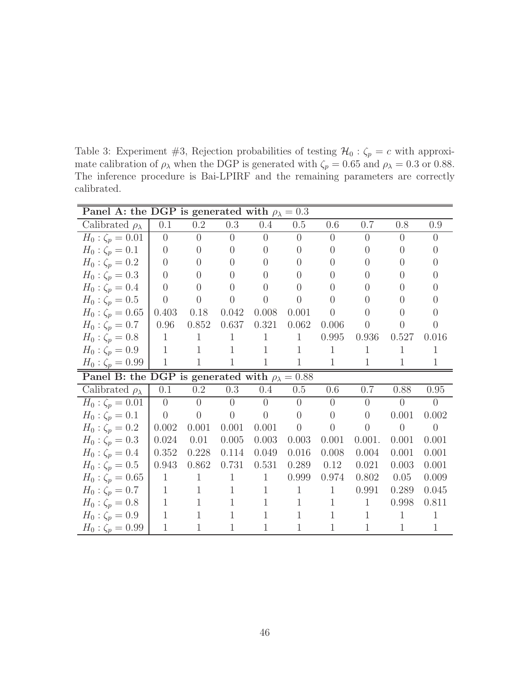Table 3: Experiment #3, Rejection probabilities of testing  $\mathcal{H}_0 : \zeta_p = c$  with approximate calibration of  $\rho_{\lambda}$  when the DGP is generated with  $\zeta_p = 0.65$  and  $\rho_{\lambda} = 0.3$  or 0.88. The inference procedure is Bai-LPIRF and the remaining parameters are correctly calibrated.

| Panel A: the DGP is generated with $\rho_{\lambda} = 0.3$  |                |                |                |                |                  |                |                  |                  |                  |
|------------------------------------------------------------|----------------|----------------|----------------|----------------|------------------|----------------|------------------|------------------|------------------|
| Calibrated $\rho_{\lambda}$                                | 0.1            | $0.2\,$        | 0.3            | 0.4            | 0.5              | 0.6            | 0.7              | 0.8              | 0.9              |
| $H_0: \zeta_p = 0.01$                                      | $\overline{0}$ | $\overline{0}$ | $\overline{0}$ | $\overline{0}$ | $\overline{0}$   | $\overline{0}$ | $\overline{0}$   | $\overline{0}$   | $\overline{0}$   |
| $H_0: \zeta_p = 0.1$                                       | $\overline{0}$ | $\overline{0}$ | $\overline{0}$ | $\overline{0}$ | $\theta$         | $\overline{0}$ | $\theta$         | $\overline{0}$   | $\theta$         |
| $H_0: \zeta_p = 0.2$                                       | $\overline{0}$ | $\theta$       | $\overline{0}$ | $\theta$       | $\Omega$         | $\theta$       | $\Omega$         | $\theta$         | $\Omega$         |
| $H_0: \zeta_p = 0.3$                                       | $\overline{0}$ | $\theta$       | $\overline{0}$ | $\theta$       | $\left( \right)$ | $\theta$       | $\Omega$         | $\theta$         | $\left($         |
| $H_0: \zeta_p = 0.4$                                       | $\overline{0}$ | $\overline{0}$ | $\overline{0}$ | $\theta$       | $\left( \right)$ | $\Omega$       | $\left( \right)$ | $\left( \right)$ | $\left( \right)$ |
| $H_0: \zeta_p = 0.5$                                       | $\overline{0}$ | $\theta$       | $\overline{0}$ | $\overline{0}$ | $\theta$         | $\overline{0}$ | $\Omega$         | $\theta$         | $\Omega$         |
| $H_0: \zeta_p = 0.65$                                      | 0.403          | 0.18           | 0.042          | 0.008          | 0.001            | $\theta$       | $\left($         | $\theta$         | $\Omega$         |
| $H_0: \zeta_p = 0.7$                                       | 0.96           | 0.852          | 0.637          | 0.321          | 0.062            | 0.006          | $\overline{0}$   | $\theta$         | $\Omega$         |
| $H_0: \zeta_p = 0.8$                                       | $\mathbf{1}$   | $\mathbf{1}$   | $\mathbf{1}$   | $\mathbf{1}$   | $\mathbf{1}$     | 0.995          | 0.936            | 0.527            | 0.016            |
| $H_0: \zeta_p = 0.9$                                       | $\mathbf{1}$   | $\mathbf{1}$   | $\mathbf{1}$   | $\mathbf{1}$   | $\mathbf{1}$     | $\mathbf{1}$   | 1                | 1                | 1                |
| $H_0: \zeta_p = 0.99$                                      | $\mathbf{1}$   | $\mathbf{1}$   | $\mathbf{1}$   | $\mathbf{1}$   | $\mathbf{1}$     | $\mathbf{1}$   | $\mathbf{1}$     | $\mathbf{1}$     | $\mathbf{1}$     |
| Panel B: the DGP is generated with $\rho_{\lambda} = 0.88$ |                |                |                |                |                  |                |                  |                  |                  |
| Calibrated $\rho_{\lambda}$                                | 0.1            | $0.2\,$        | 0.3            | 0.4            | 0.5              | 0.6            | 0.7              | 0.88             | 0.95             |
| $H_0: \zeta_p = 0.01$                                      | $\overline{0}$ | $\overline{0}$ | $\overline{0}$ | $\overline{0}$ | $\overline{0}$   | $\overline{0}$ | $\overline{0}$   | $\overline{0}$   | $\overline{0}$   |
| $H_0: \zeta_p = 0.1$                                       | $\overline{0}$ | $\theta$       | $\theta$       | $\overline{0}$ | $\theta$         | $\theta$       | $\theta$         | 0.001            | 0.002            |
| $H_0: \zeta_p = 0.2$                                       | 0.002          | 0.001          | 0.001          | 0.001          | $\overline{0}$   | $\overline{0}$ | $\overline{0}$   | $\overline{0}$   | $\overline{0}$   |
| $H_0: \zeta_p = 0.3$                                       | 0.024          | 0.01           | 0.005          | 0.003          | 0.003            | 0.001          | 0.001.           | 0.001            | 0.001            |
| $H_0: \zeta_p = 0.4$                                       | 0.352          | 0.228          | 0.114          | 0.049          | 0.016            | 0.008          | 0.004            | 0.001            | 0.001            |
| $H_0: \zeta_p = 0.5$                                       | 0.943          | 0.862          | 0.731          | 0.531          | 0.289            | 0.12           | 0.021            | 0.003            | 0.001            |
| $H_0: \zeta_p = 0.65$                                      | $\mathbf{1}$   | $\mathbf{1}$   | $\mathbf{1}$   | $\mathbf{1}$   | 0.999            | 0.974          | 0.802            | 0.05             | 0.009            |
| $H_0: \zeta_p = 0.7$                                       | $\mathbf{1}$   | 1              | $\mathbf{1}$   | $\mathbf{1}$   | $\mathbf{1}$     | $\mathbf{1}$   | 0.991            | 0.289            | 0.045            |
| $H_0: \zeta_p = 0.8$                                       | $\mathbf{1}$   | 1              | $\mathbf{1}$   | $\mathbf{1}$   | $\mathbf{1}$     | $\mathbf{1}$   | $\mathbf{1}$     | 0.998            | 0.811            |
| $H_0: \zeta_p = 0.9$                                       | $\mathbf{1}$   | 1              | $\mathbf{1}$   | $\mathbf{1}$   | 1                | $\mathbf{1}$   | $\mathbf{1}$     | $\mathbf{1}$     | $\mathbf{1}$     |
| $H_0: \zeta_p = 0.99$                                      | $\mathbf{1}$   | 1              | $\mathbf{1}$   | $\mathbf{1}$   | 1                | $\mathbf{1}$   | $\mathbf{1}$     | $\mathbf{1}$     | $\mathbf{1}$     |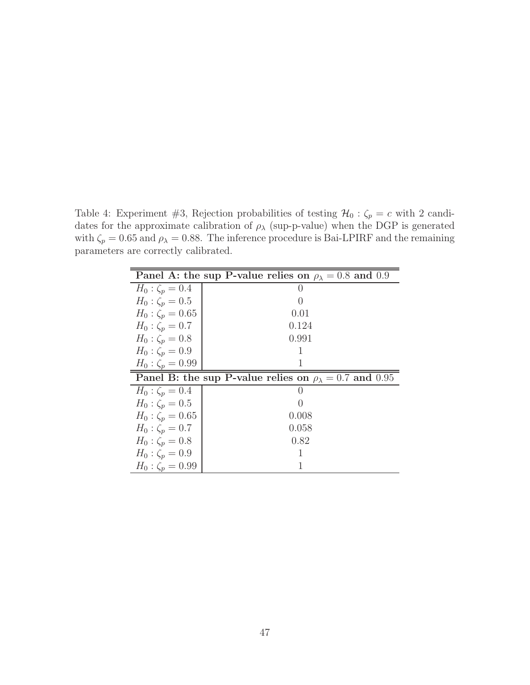Table 4: Experiment #3, Rejection probabilities of testing  $\mathcal{H}_0$ :  $\zeta_p = c$  with 2 candidates for the approximate calibration of  $\rho_{\lambda}$  (sup-p-value) when the DGP is generated with  $\zeta_p = 0.65$  and  $\rho_{\lambda} = 0.88$ . The inference procedure is Bai-LPIRF and the remaining parameters are correctly calibrated.

| Panel A: the sup P-value relies on $\rho_{\lambda} = 0.8$ and 0.9 |                                                                    |  |  |  |  |
|-------------------------------------------------------------------|--------------------------------------------------------------------|--|--|--|--|
| $H_0: \zeta_p = 0.4$                                              |                                                                    |  |  |  |  |
| $H_0: \zeta_p = 0.5$                                              | $\left( \ \right)$                                                 |  |  |  |  |
| $H_0: \zeta_p = 0.65$                                             | 0.01                                                               |  |  |  |  |
| $H_0: \zeta_p = 0.7$                                              | 0.124                                                              |  |  |  |  |
| $H_0: \zeta_p = 0.8$                                              | 0.991                                                              |  |  |  |  |
| $H_0: \zeta_p = 0.9$                                              | 1                                                                  |  |  |  |  |
| $H_0: \zeta_p = 0.99$                                             |                                                                    |  |  |  |  |
|                                                                   | Panel B: the sup P-value relies on $\rho_{\lambda} = 0.7$ and 0.95 |  |  |  |  |
| $H_0: \zeta_p = 0.4$                                              |                                                                    |  |  |  |  |
| $H_0: \zeta_p = 0.5$                                              |                                                                    |  |  |  |  |
| $H_0: \zeta_p = 0.65$                                             | 0.008                                                              |  |  |  |  |
| $H_0: \zeta_p = 0.7$                                              | 0.058                                                              |  |  |  |  |
| $H_0: \zeta_p = 0.8$                                              | 0.82                                                               |  |  |  |  |
| $H_0: \zeta_p = 0.9$                                              |                                                                    |  |  |  |  |
| $H_0: \zeta_p = 0.99$                                             |                                                                    |  |  |  |  |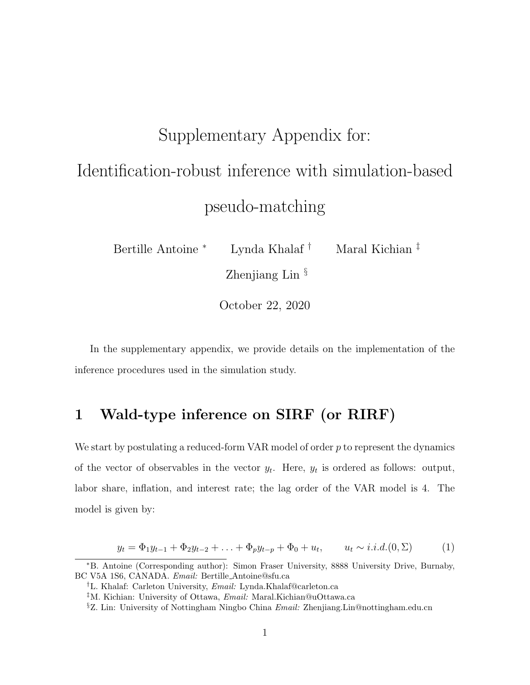# Supplementary Appendix for: Identification-robust inference with simulation-based pseudo-matching

Bertille Antoine *<sup>∗</sup>* Lynda Khalaf *†* Maral Kichian *‡* Zhenjiang Lin *§*

October 22, 2020

In the supplementary appendix, we provide details on the implementation of the inference procedures used in the simulation study.

## **1 Wald-type inference on SIRF (or RIRF)**

We start by postulating a reduced-form VAR model of order *p* to represent the dynamics of the vector of observables in the vector  $y_t$ . Here,  $y_t$  is ordered as follows: output, labor share, inflation, and interest rate; the lag order of the VAR model is 4. The model is given by:

$$
y_t = \Phi_1 y_{t-1} + \Phi_2 y_{t-2} + \ldots + \Phi_p y_{t-p} + \Phi_0 + u_t, \qquad u_t \sim i.i.d. (0, \Sigma) \tag{1}
$$

*<sup>∗</sup>*B. Antoine (Corresponding author): Simon Fraser University, 8888 University Drive, Burnaby, BC V5A 1S6, CANADA. *Email:* Bertille Antoine@sfu.ca

*<sup>†</sup>*L. Khalaf: Carleton University, *Email:* Lynda.Khalaf@carleton.ca

*<sup>‡</sup>*M. Kichian: University of Ottawa, *Email:* Maral.Kichian@uOttawa.ca

*<sup>§</sup>*Z. Lin: University of Nottingham Ningbo China *Email:* Zhenjiang.Lin@nottingham.edu.cn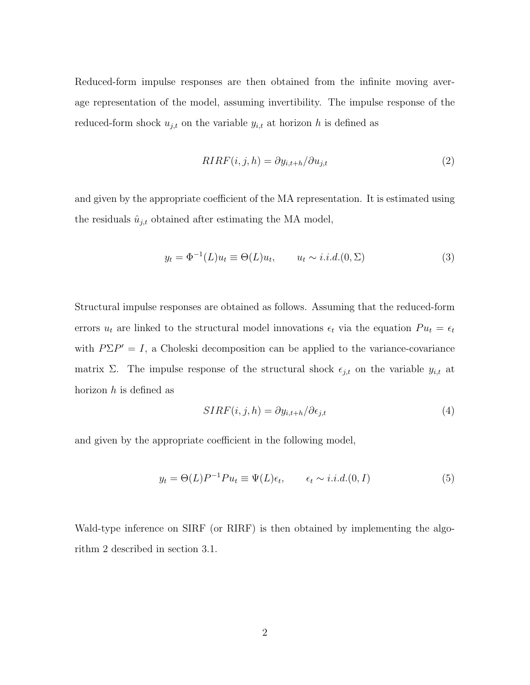Reduced-form impulse responses are then obtained from the infinite moving average representation of the model, assuming invertibility. The impulse response of the reduced-form shock  $u_{j,t}$  on the variable  $y_{i,t}$  at horizon h is defined as

$$
RIRF(i,j,h) = \partial y_{i,t+h} / \partial u_{j,t}
$$
\n<sup>(2)</sup>

and given by the appropriate coefficient of the MA representation. It is estimated using the residuals  $\hat{u}_{j,t}$  obtained after estimating the MA model,

$$
y_t = \Phi^{-1}(L)u_t \equiv \Theta(L)u_t, \qquad u_t \sim i.i.d. (0, \Sigma)
$$
\n
$$
(3)
$$

Structural impulse responses are obtained as follows. Assuming that the reduced-form errors  $u_t$  are linked to the structural model innovations  $\epsilon_t$  via the equation  $Pu_t = \epsilon_t$ with  $P\Sigma P' = I$ , a Choleski decomposition can be applied to the variance-covariance matrix  $\Sigma$ . The impulse response of the structural shock  $\epsilon_{j,t}$  on the variable  $y_{i,t}$  at horizon *h* is defined as

$$
SIRF(i, j, h) = \partial y_{i, t+h} / \partial \epsilon_{j, t}
$$
\n<sup>(4)</sup>

and given by the appropriate coefficient in the following model,

$$
y_t = \Theta(L)P^{-1}Pu_t \equiv \Psi(L)\epsilon_t, \qquad \epsilon_t \sim i.i.d. (0, I)
$$
\n
$$
(5)
$$

Wald-type inference on SIRF (or RIRF) is then obtained by implementing the algorithm 2 described in section 3.1.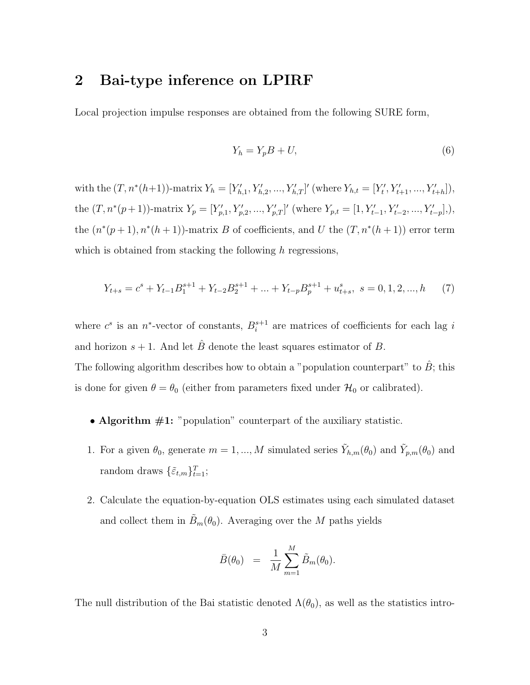### **2 Bai-type inference on LPIRF**

Local projection impulse responses are obtained from the following SURE form,

$$
Y_h = Y_p B + U,\tag{6}
$$

with the  $(T, n^*(h+1))$ -matrix  $Y_h = [Y'_{h,1}, Y'_{h,2}, ..., Y'_{h,T}]'$  (where  $Y_{h,t} = [Y'_t, Y'_{t+1}, ..., Y'_{t+h}],$ the  $(T, n^*(p+1))$ -matrix  $Y_p = [Y'_{p,1}, Y'_{p,2}, ..., Y'_{p,T}]'$  (where  $Y_{p,t} = [1, Y'_{t-1}, Y'_{t-2}, ..., Y'_{t-p}],$ ), the  $(n^*(p+1), n^*(h+1))$ -matrix *B* of coefficients, and *U* the  $(T, n^*(h+1))$  error term which is obtained from stacking the following *h* regressions,

$$
Y_{t+s} = c^s + Y_{t-1}B_1^{s+1} + Y_{t-2}B_2^{s+1} + \dots + Y_{t-p}B_p^{s+1} + u_{t+s}^s, \ s = 0, 1, 2, \dots, h \tag{7}
$$

where  $c^s$  is an  $n^*$ -vector of constants,  $B_i^{s+1}$  $i^{s+1}$  are matrices of coefficients for each lag *i* and horizon  $s + 1$ . And let  $\hat{B}$  denote the least squares estimator of *B*. The following algorithm describes how to obtain a "population counterpart" to  $\hat{B}$ ; this is done for given  $\theta = \theta_0$  (either from parameters fixed under  $\mathcal{H}_0$  or calibrated).

- **Algorithm**  $#1$ **:** "population" counterpart of the auxiliary statistic.
- 1. For a given  $\theta_0$ , generate  $m = 1, ..., M$  simulated series  $\tilde{Y}_{h,m}(\theta_0)$  and  $\tilde{Y}_{p,m}(\theta_0)$  and random draws  $\{\tilde{\varepsilon}_{t,m}\}_{t=1}^T$ ;
- 2. Calculate the equation-by-equation OLS estimates using each simulated dataset and collect them in  $\tilde{B}_m(\theta_0)$ . Averaging over the *M* paths yields

$$
\bar{B}(\theta_0) = \frac{1}{M} \sum_{m=1}^M \tilde{B}_m(\theta_0).
$$

The null distribution of the Bai statistic denoted  $\Lambda(\theta_0)$ , as well as the statistics intro-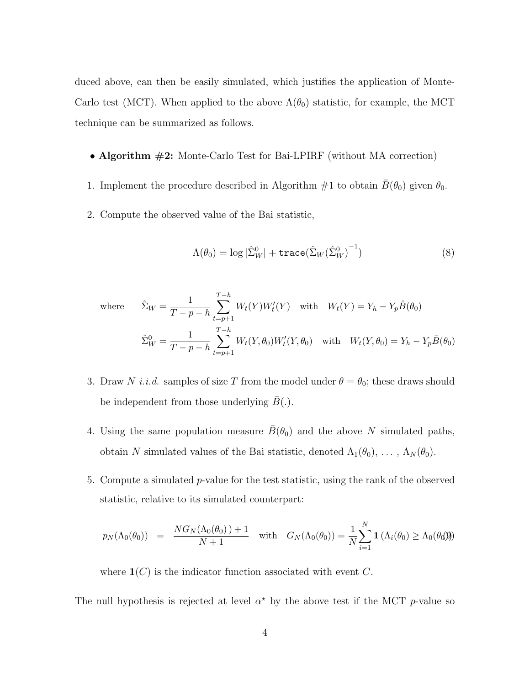duced above, can then be easily simulated, which justifies the application of Monte-Carlo test (MCT). When applied to the above  $\Lambda(\theta_0)$  statistic, for example, the MCT technique can be summarized as follows.

- **Algorithm #2:** Monte-Carlo Test for Bai-LPIRF (without MA correction)
- 1. Implement the procedure described in Algorithm  $\#1$  to obtain  $\bar{B}(\theta_0)$  given  $\theta_0$ .
- 2. Compute the observed value of the Bai statistic,

$$
\Lambda(\theta_0) = \log |\hat{\Sigma}_W^0| + \text{trace}(\hat{\Sigma}_W(\hat{\Sigma}_W^0)^{-1})
$$
\n(8)

where 
$$
\hat{\Sigma}_W = \frac{1}{T - p - h} \sum_{t=p+1}^{T-h} W_t(Y) W'_t(Y) \text{ with } W_t(Y) = Y_h - Y_p \hat{B}(\theta_0)
$$

$$
\hat{\Sigma}_W^0 = \frac{1}{T - p - h} \sum_{t=p+1}^{T-h} W_t(Y, \theta_0) W'_t(Y, \theta_0) \text{ with } W_t(Y, \theta_0) = Y_h - Y_p \bar{B}(\theta_0)
$$

- 3. Draw *N i.i.d.* samples of size *T* from the model under  $\theta = \theta_0$ ; these draws should be independent from those underlying  $B(.)$ .
- 4. Using the same population measure  $\bar{B}(\theta_0)$  and the above *N* simulated paths, obtain *N* simulated values of the Bai statistic, denoted  $\Lambda_1(\theta_0), \ldots, \Lambda_N(\theta_0)$ .
- 5. Compute a simulated *p*-value for the test statistic, using the rank of the observed statistic, relative to its simulated counterpart:

$$
p_N(\Lambda_0(\theta_0)) = \frac{NG_N(\Lambda_0(\theta_0)) + 1}{N + 1} \quad \text{with} \quad G_N(\Lambda_0(\theta_0)) = \frac{1}{N} \sum_{i=1}^N \mathbf{1} (\Lambda_i(\theta_0) \ge \Lambda_0(\theta_0))
$$

where **1**(*C*) is the indicator function associated with event *C*.

The null hypothesis is rejected at level  $\alpha^*$  by the above test if the MCT *p*-value so